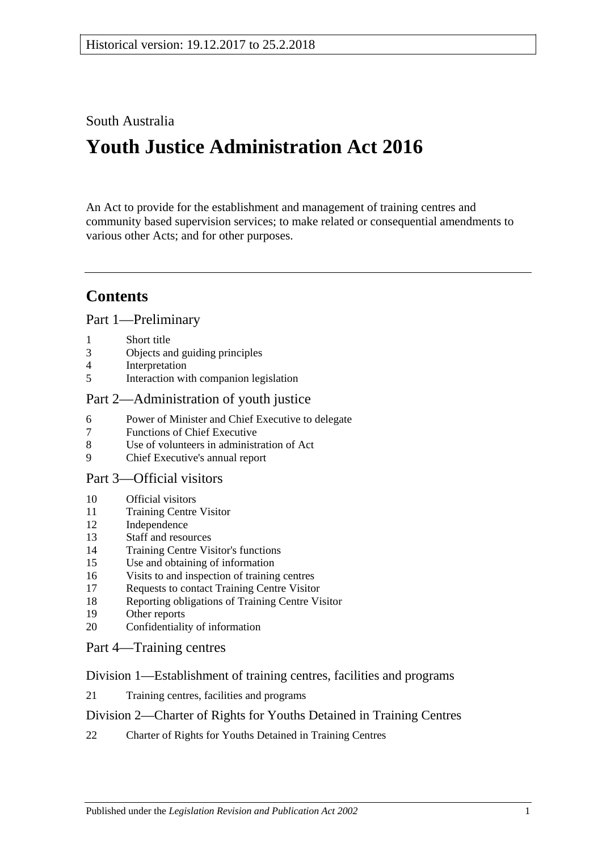## South Australia

# **Youth Justice Administration Act 2016**

An Act to provide for the establishment and management of training centres and community based supervision services; to make related or consequential amendments to various other Acts; and for other purposes.

## **Contents**

#### Part [1—Preliminary](#page-2-0)

- 1 [Short title](#page-2-1)
- 3 [Objects and guiding principles](#page-2-2)
- 4 [Interpretation](#page-3-0)
- 5 [Interaction with companion legislation](#page-5-0)

## Part [2—Administration of youth justice](#page-5-1)

- 6 [Power of Minister and Chief Executive to delegate](#page-5-2)
- 7 [Functions of Chief Executive](#page-6-0)
- 8 [Use of volunteers in administration of Act](#page-6-1)
- 9 [Chief Executive's annual report](#page-6-2)

#### Part [3—Official visitors](#page-6-3)

- 10 [Official visitors](#page-6-4)
- 11 [Training Centre Visitor](#page-7-0)
- 12 [Independence](#page-8-0)
- 13 [Staff and resources](#page-8-1)
- 14 [Training Centre Visitor's functions](#page-8-2)
- 15 [Use and obtaining of information](#page-9-0)
- 16 [Visits to and inspection of training centres](#page-9-1)
- 17 [Requests to contact Training Centre Visitor](#page-10-0)
- 18 [Reporting obligations of Training Centre Visitor](#page-10-1)
- 19 [Other reports](#page-10-2)
- 20 [Confidentiality of information](#page-11-0)

### Part [4—Training centres](#page-11-1)

#### Division [1—Establishment of training centres, facilities and programs](#page-11-2)

21 [Training centres, facilities and programs](#page-11-3)

#### Division [2—Charter of Rights for Youths Detained in Training Centres](#page-11-4)

22 [Charter of Rights for Youths Detained in Training Centres](#page-11-5)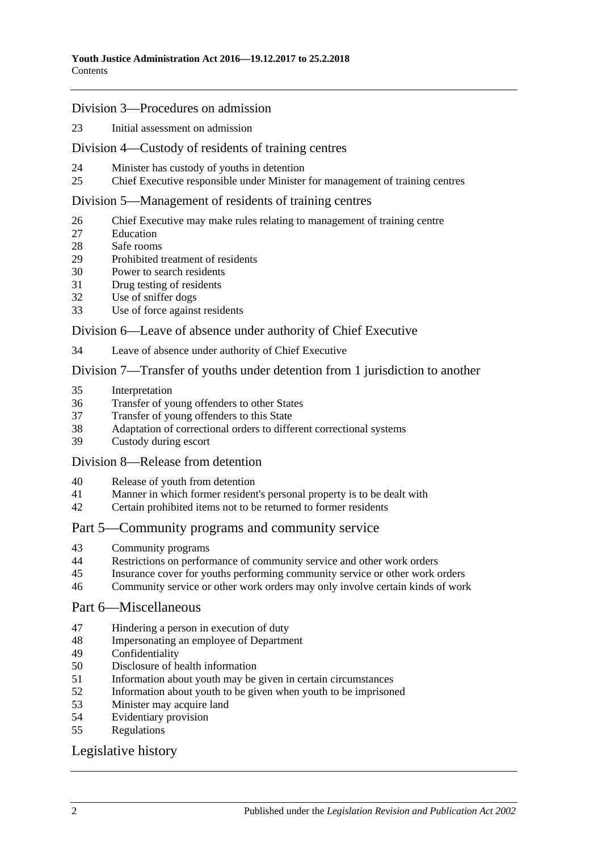#### Division [3—Procedures on admission](#page-12-0)

[Initial assessment on admission](#page-12-1)

#### Division [4—Custody of residents of training centres](#page-14-0)

- [Minister has custody of youths in detention](#page-14-1)
- [Chief Executive responsible under Minister for management of training centres](#page-14-2)

#### Division [5—Management of residents of training centres](#page-14-3)

- [Chief Executive may make rules relating to management of training centre](#page-14-4)
- [Education](#page-14-5)
- [Safe rooms](#page-15-0)
- [Prohibited treatment of residents](#page-16-0)
- [Power to search residents](#page-17-0)
- [Drug testing of residents](#page-18-0)
- [Use of sniffer dogs](#page-19-0)
- [Use of force against residents](#page-19-1)

#### Division [6—Leave of absence under authority of Chief Executive](#page-20-0)

[Leave of absence under authority of Chief Executive](#page-20-1)

#### Division [7—Transfer of youths under detention from 1 jurisdiction to another](#page-21-0)

- [Interpretation](#page-21-1)
- [Transfer of young offenders to other States](#page-22-0)
- [Transfer of young offenders to this State](#page-23-0)
- [Adaptation of correctional orders to different correctional systems](#page-24-0)<br>39 Custody during escort
- [Custody during escort](#page-24-1)

#### Division [8—Release from detention](#page-24-2)

- [Release of youth from detention](#page-24-3)
- [Manner in which former resident's personal property is to be dealt with](#page-25-0)
- [Certain prohibited items not to be returned to former residents](#page-25-1)

#### Part [5—Community programs and community service](#page-25-2)

- [Community programs](#page-25-3)
- [Restrictions on performance of community service and other work orders](#page-26-0)
- [Insurance cover for youths performing community service or other work orders](#page-27-0)
- [Community service or other work orders may only involve certain kinds of work](#page-27-1)

#### Part [6—Miscellaneous](#page-27-2)

- [Hindering a person in execution of duty](#page-27-3)
- [Impersonating an employee of Department](#page-28-0)
- [Confidentiality](#page-28-1)
- [Disclosure of health information](#page-28-2)
- [Information about youth may be given in certain circumstances](#page-29-0)
- [Information about youth to be given when youth to be imprisoned](#page-29-1)
- [Minister may acquire land](#page-30-0)
- [Evidentiary provision](#page-30-1)
- [Regulations](#page-30-2)

## [Legislative history](#page-32-0)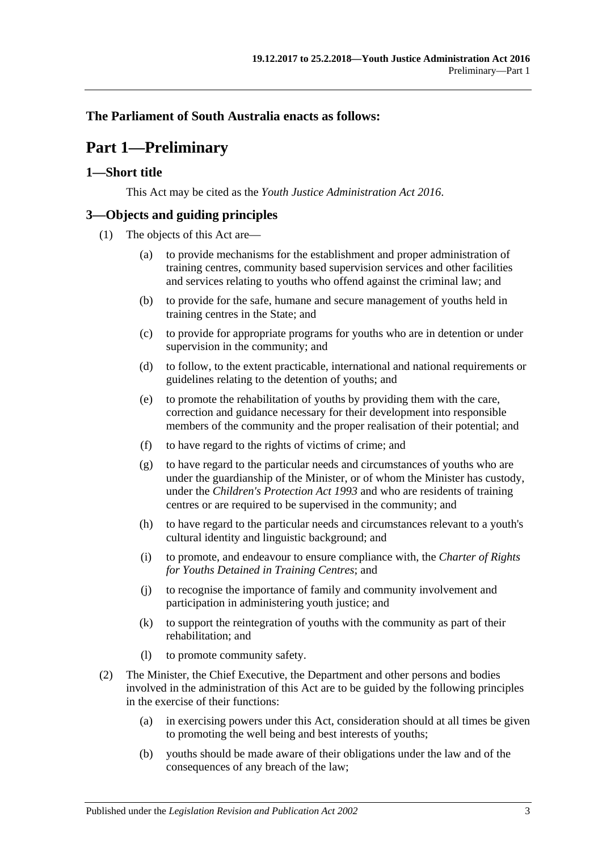## <span id="page-2-0"></span>**The Parliament of South Australia enacts as follows:**

## **Part 1—Preliminary**

### <span id="page-2-1"></span>**1—Short title**

This Act may be cited as the *Youth Justice Administration Act 2016*.

## <span id="page-2-2"></span>**3—Objects and guiding principles**

- (1) The objects of this Act are—
	- (a) to provide mechanisms for the establishment and proper administration of training centres, community based supervision services and other facilities and services relating to youths who offend against the criminal law; and
	- (b) to provide for the safe, humane and secure management of youths held in training centres in the State; and
	- (c) to provide for appropriate programs for youths who are in detention or under supervision in the community; and
	- (d) to follow, to the extent practicable, international and national requirements or guidelines relating to the detention of youths; and
	- (e) to promote the rehabilitation of youths by providing them with the care, correction and guidance necessary for their development into responsible members of the community and the proper realisation of their potential; and
	- (f) to have regard to the rights of victims of crime; and
	- (g) to have regard to the particular needs and circumstances of youths who are under the guardianship of the Minister, or of whom the Minister has custody, under the *[Children's Protection Act](http://www.legislation.sa.gov.au/index.aspx?action=legref&type=act&legtitle=Childrens%20Protection%20Act%201993) 1993* and who are residents of training centres or are required to be supervised in the community; and
	- (h) to have regard to the particular needs and circumstances relevant to a youth's cultural identity and linguistic background; and
	- (i) to promote, and endeavour to ensure compliance with, the *Charter of Rights for Youths Detained in Training Centres*; and
	- (j) to recognise the importance of family and community involvement and participation in administering youth justice; and
	- (k) to support the reintegration of youths with the community as part of their rehabilitation; and
	- (l) to promote community safety.
- <span id="page-2-3"></span>(2) The Minister, the Chief Executive, the Department and other persons and bodies involved in the administration of this Act are to be guided by the following principles in the exercise of their functions:
	- (a) in exercising powers under this Act, consideration should at all times be given to promoting the well being and best interests of youths;
	- (b) youths should be made aware of their obligations under the law and of the consequences of any breach of the law;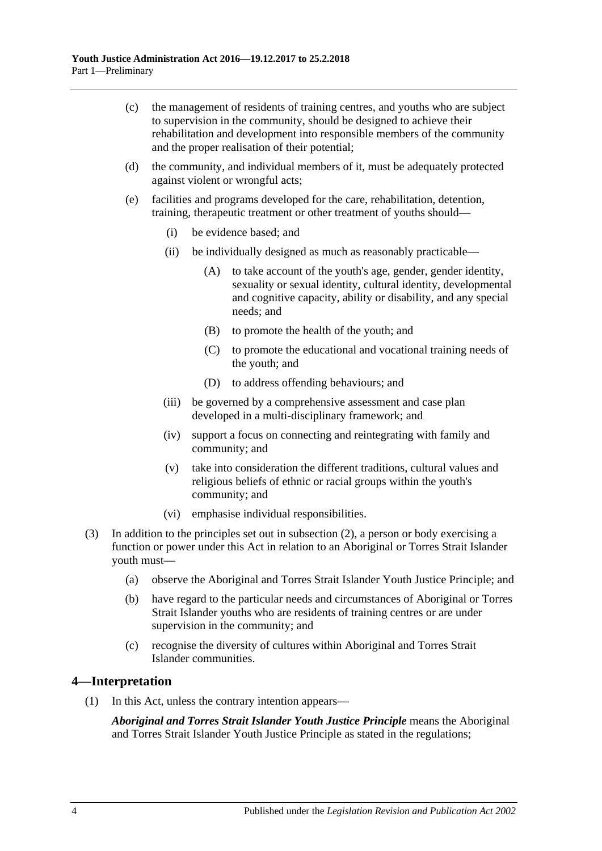- (c) the management of residents of training centres, and youths who are subject to supervision in the community, should be designed to achieve their rehabilitation and development into responsible members of the community and the proper realisation of their potential;
- (d) the community, and individual members of it, must be adequately protected against violent or wrongful acts;
- (e) facilities and programs developed for the care, rehabilitation, detention, training, therapeutic treatment or other treatment of youths should—
	- (i) be evidence based; and
	- (ii) be individually designed as much as reasonably practicable—
		- (A) to take account of the youth's age, gender, gender identity, sexuality or sexual identity, cultural identity, developmental and cognitive capacity, ability or disability, and any special needs; and
		- (B) to promote the health of the youth; and
		- (C) to promote the educational and vocational training needs of the youth; and
		- (D) to address offending behaviours; and
	- (iii) be governed by a comprehensive assessment and case plan developed in a multi-disciplinary framework; and
	- (iv) support a focus on connecting and reintegrating with family and community; and
	- (v) take into consideration the different traditions, cultural values and religious beliefs of ethnic or racial groups within the youth's community; and
	- (vi) emphasise individual responsibilities.
- (3) In addition to the principles set out in [subsection](#page-2-3) (2), a person or body exercising a function or power under this Act in relation to an Aboriginal or Torres Strait Islander youth must—
	- (a) observe the Aboriginal and Torres Strait Islander Youth Justice Principle; and
	- (b) have regard to the particular needs and circumstances of Aboriginal or Torres Strait Islander youths who are residents of training centres or are under supervision in the community; and
	- (c) recognise the diversity of cultures within Aboriginal and Torres Strait Islander communities.

### <span id="page-3-0"></span>**4—Interpretation**

(1) In this Act, unless the contrary intention appears—

*Aboriginal and Torres Strait Islander Youth Justice Principle* means the Aboriginal and Torres Strait Islander Youth Justice Principle as stated in the regulations;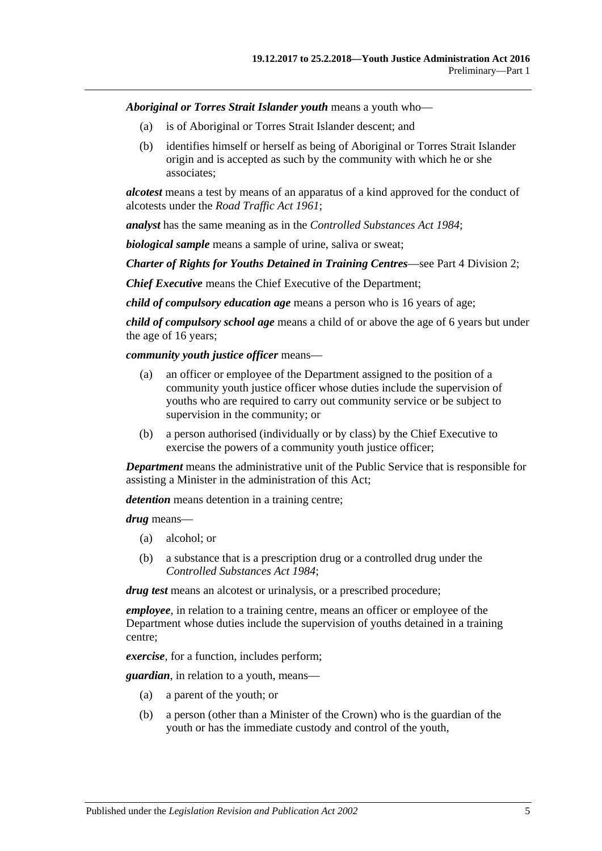*Aboriginal or Torres Strait Islander youth* means a youth who—

- (a) is of Aboriginal or Torres Strait Islander descent; and
- (b) identifies himself or herself as being of Aboriginal or Torres Strait Islander origin and is accepted as such by the community with which he or she associates;

*alcotest* means a test by means of an apparatus of a kind approved for the conduct of alcotests under the *[Road Traffic Act](http://www.legislation.sa.gov.au/index.aspx?action=legref&type=act&legtitle=Road%20Traffic%20Act%201961) 1961*;

*analyst* has the same meaning as in the *[Controlled Substances Act](http://www.legislation.sa.gov.au/index.aspx?action=legref&type=act&legtitle=Controlled%20Substances%20Act%201984) 1984*;

*biological sample* means a sample of urine, saliva or sweat;

*Charter of Rights for Youths Detained in Training Centres*—see Part 4 [Division](#page-11-4) 2;

*Chief Executive* means the Chief Executive of the Department;

*child of compulsory education age* means a person who is 16 years of age;

*child of compulsory school age* means a child of or above the age of 6 years but under the age of 16 years;

*community youth justice officer* means—

- (a) an officer or employee of the Department assigned to the position of a community youth justice officer whose duties include the supervision of youths who are required to carry out community service or be subject to supervision in the community; or
- (b) a person authorised (individually or by class) by the Chief Executive to exercise the powers of a community youth justice officer;

*Department* means the administrative unit of the Public Service that is responsible for assisting a Minister in the administration of this Act;

*detention* means detention in a training centre;

*drug* means—

- (a) alcohol; or
- (b) a substance that is a prescription drug or a controlled drug under the *[Controlled Substances Act](http://www.legislation.sa.gov.au/index.aspx?action=legref&type=act&legtitle=Controlled%20Substances%20Act%201984) 1984*;

*drug test* means an alcotest or urinalysis, or a prescribed procedure;

*employee*, in relation to a training centre, means an officer or employee of the Department whose duties include the supervision of youths detained in a training centre;

*exercise*, for a function, includes perform;

*guardian*, in relation to a youth, means—

- (a) a parent of the youth; or
- (b) a person (other than a Minister of the Crown) who is the guardian of the youth or has the immediate custody and control of the youth,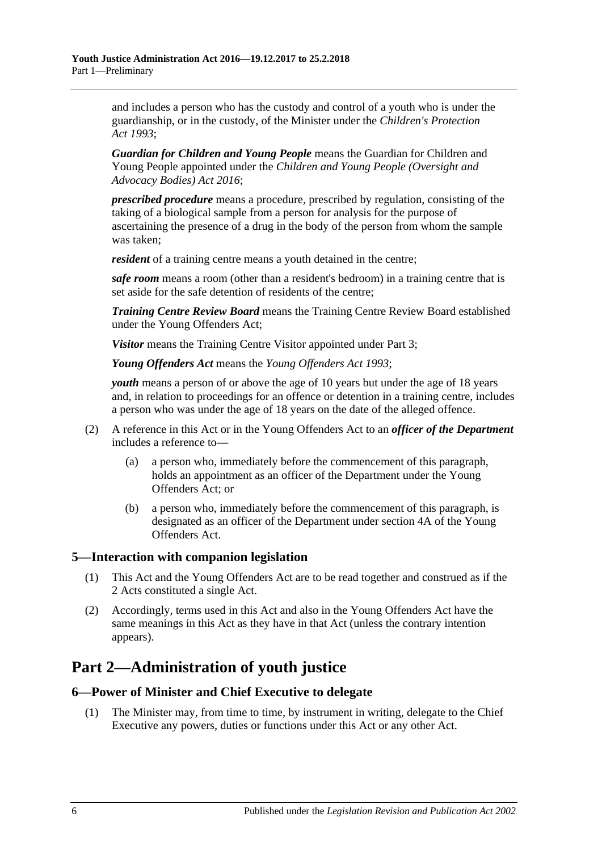and includes a person who has the custody and control of a youth who is under the guardianship, or in the custody, of the Minister under the *[Children's Protection](http://www.legislation.sa.gov.au/index.aspx?action=legref&type=act&legtitle=Childrens%20Protection%20Act%201993)  Act [1993](http://www.legislation.sa.gov.au/index.aspx?action=legref&type=act&legtitle=Childrens%20Protection%20Act%201993)*;

*Guardian for Children and Young People* means the Guardian for Children and Young People appointed under the *[Children and Young People \(Oversight and](http://www.legislation.sa.gov.au/index.aspx?action=legref&type=act&legtitle=Children%20and%20Young%20People%20(Oversight%20and%20Advocacy%20Bodies)%20Act%202016)  [Advocacy Bodies\) Act](http://www.legislation.sa.gov.au/index.aspx?action=legref&type=act&legtitle=Children%20and%20Young%20People%20(Oversight%20and%20Advocacy%20Bodies)%20Act%202016) 2016*;

*prescribed procedure* means a procedure, prescribed by regulation, consisting of the taking of a biological sample from a person for analysis for the purpose of ascertaining the presence of a drug in the body of the person from whom the sample was taken;

*resident* of a training centre means a youth detained in the centre;

*safe room* means a room (other than a resident's bedroom) in a training centre that is set aside for the safe detention of residents of the centre;

*Training Centre Review Board* means the Training Centre Review Board established under the Young Offenders Act;

*Visitor* means the Training Centre Visitor appointed unde[r Part](#page-6-3) 3;

*Young Offenders Act* means the *[Young Offenders Act](http://www.legislation.sa.gov.au/index.aspx?action=legref&type=act&legtitle=Young%20Offenders%20Act%201993) 1993*;

*youth* means a person of or above the age of 10 years but under the age of 18 years and, in relation to proceedings for an offence or detention in a training centre, includes a person who was under the age of 18 years on the date of the alleged offence.

- (2) A reference in this Act or in the Young Offenders Act to an *officer of the Department* includes a reference to—
	- (a) a person who, immediately before the commencement of this paragraph, holds an appointment as an officer of the Department under the Young Offenders Act; or
	- (b) a person who, immediately before the commencement of this paragraph, is designated as an officer of the Department under section 4A of the Young Offenders Act.

### <span id="page-5-0"></span>**5—Interaction with companion legislation**

- (1) This Act and the Young Offenders Act are to be read together and construed as if the 2 Acts constituted a single Act.
- (2) Accordingly, terms used in this Act and also in the Young Offenders Act have the same meanings in this Act as they have in that Act (unless the contrary intention appears).

## <span id="page-5-1"></span>**Part 2—Administration of youth justice**

### <span id="page-5-2"></span>**6—Power of Minister and Chief Executive to delegate**

(1) The Minister may, from time to time, by instrument in writing, delegate to the Chief Executive any powers, duties or functions under this Act or any other Act.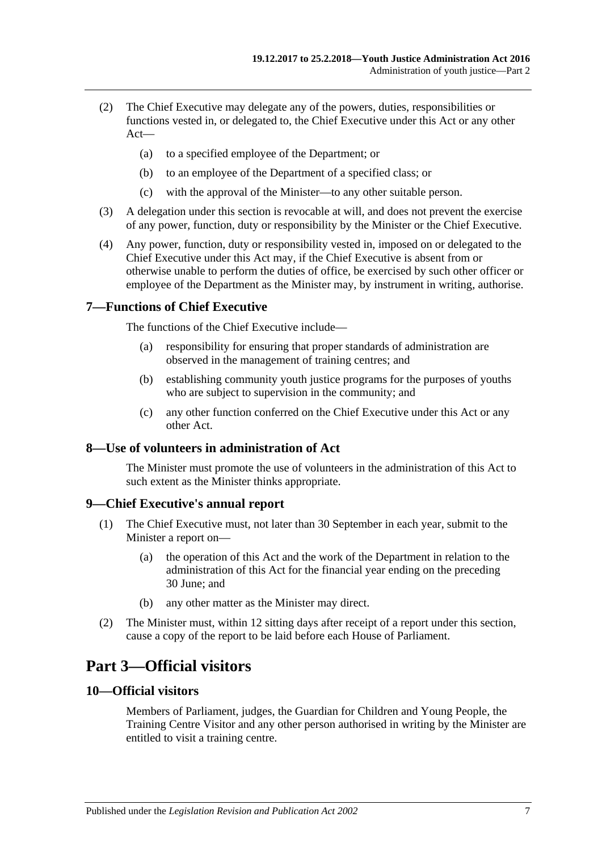- (2) The Chief Executive may delegate any of the powers, duties, responsibilities or functions vested in, or delegated to, the Chief Executive under this Act or any other Act—
	- (a) to a specified employee of the Department; or
	- (b) to an employee of the Department of a specified class; or
	- (c) with the approval of the Minister—to any other suitable person.
- (3) A delegation under this section is revocable at will, and does not prevent the exercise of any power, function, duty or responsibility by the Minister or the Chief Executive.
- (4) Any power, function, duty or responsibility vested in, imposed on or delegated to the Chief Executive under this Act may, if the Chief Executive is absent from or otherwise unable to perform the duties of office, be exercised by such other officer or employee of the Department as the Minister may, by instrument in writing, authorise.

### <span id="page-6-0"></span>**7—Functions of Chief Executive**

The functions of the Chief Executive include—

- (a) responsibility for ensuring that proper standards of administration are observed in the management of training centres; and
- (b) establishing community youth justice programs for the purposes of youths who are subject to supervision in the community; and
- (c) any other function conferred on the Chief Executive under this Act or any other Act.

### <span id="page-6-1"></span>**8—Use of volunteers in administration of Act**

The Minister must promote the use of volunteers in the administration of this Act to such extent as the Minister thinks appropriate.

### <span id="page-6-2"></span>**9—Chief Executive's annual report**

- (1) The Chief Executive must, not later than 30 September in each year, submit to the Minister a report on—
	- (a) the operation of this Act and the work of the Department in relation to the administration of this Act for the financial year ending on the preceding 30 June; and
	- (b) any other matter as the Minister may direct.
- (2) The Minister must, within 12 sitting days after receipt of a report under this section, cause a copy of the report to be laid before each House of Parliament.

## <span id="page-6-3"></span>**Part 3—Official visitors**

### <span id="page-6-4"></span>**10—Official visitors**

Members of Parliament, judges, the Guardian for Children and Young People, the Training Centre Visitor and any other person authorised in writing by the Minister are entitled to visit a training centre.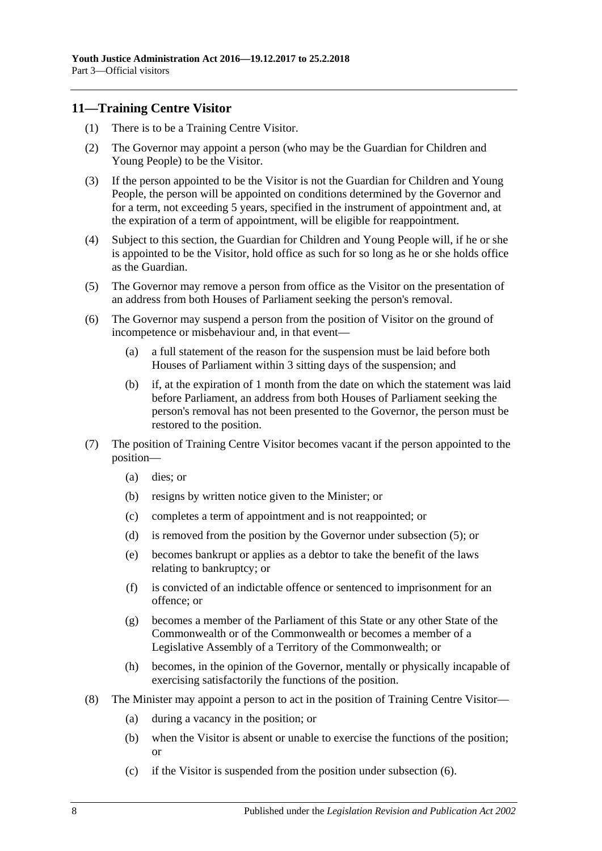### <span id="page-7-0"></span>**11—Training Centre Visitor**

- (1) There is to be a Training Centre Visitor.
- (2) The Governor may appoint a person (who may be the Guardian for Children and Young People) to be the Visitor.
- (3) If the person appointed to be the Visitor is not the Guardian for Children and Young People, the person will be appointed on conditions determined by the Governor and for a term, not exceeding 5 years, specified in the instrument of appointment and, at the expiration of a term of appointment, will be eligible for reappointment.
- (4) Subject to this section, the Guardian for Children and Young People will, if he or she is appointed to be the Visitor, hold office as such for so long as he or she holds office as the Guardian.
- <span id="page-7-1"></span>(5) The Governor may remove a person from office as the Visitor on the presentation of an address from both Houses of Parliament seeking the person's removal.
- <span id="page-7-2"></span>(6) The Governor may suspend a person from the position of Visitor on the ground of incompetence or misbehaviour and, in that event—
	- (a) a full statement of the reason for the suspension must be laid before both Houses of Parliament within 3 sitting days of the suspension; and
	- (b) if, at the expiration of 1 month from the date on which the statement was laid before Parliament, an address from both Houses of Parliament seeking the person's removal has not been presented to the Governor, the person must be restored to the position.
- (7) The position of Training Centre Visitor becomes vacant if the person appointed to the position—
	- (a) dies; or
	- (b) resigns by written notice given to the Minister; or
	- (c) completes a term of appointment and is not reappointed; or
	- (d) is removed from the position by the Governor under [subsection](#page-7-1) (5); or
	- (e) becomes bankrupt or applies as a debtor to take the benefit of the laws relating to bankruptcy; or
	- (f) is convicted of an indictable offence or sentenced to imprisonment for an offence; or
	- (g) becomes a member of the Parliament of this State or any other State of the Commonwealth or of the Commonwealth or becomes a member of a Legislative Assembly of a Territory of the Commonwealth; or
	- (h) becomes, in the opinion of the Governor, mentally or physically incapable of exercising satisfactorily the functions of the position.
- (8) The Minister may appoint a person to act in the position of Training Centre Visitor—
	- (a) during a vacancy in the position; or
	- (b) when the Visitor is absent or unable to exercise the functions of the position; or
	- (c) if the Visitor is suspended from the position under [subsection](#page-7-2) (6).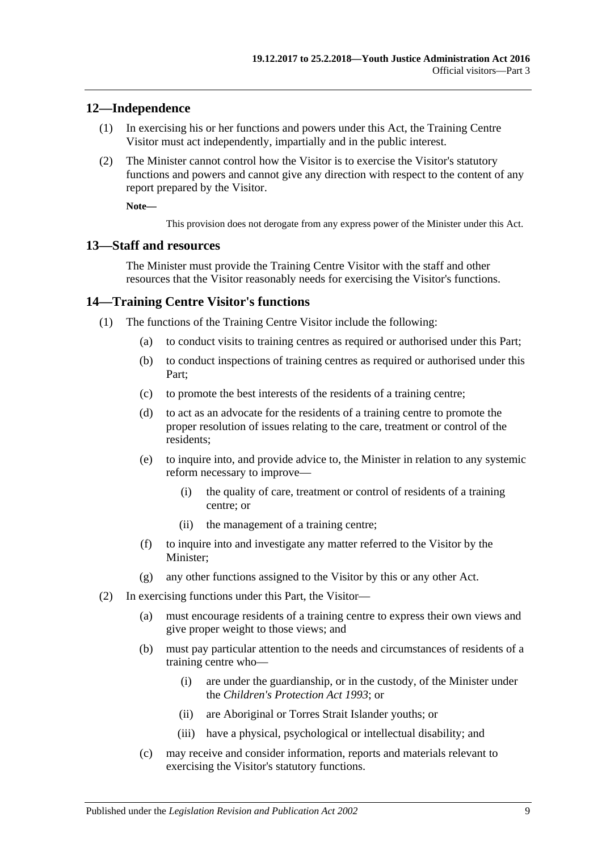#### <span id="page-8-0"></span>**12—Independence**

- (1) In exercising his or her functions and powers under this Act, the Training Centre Visitor must act independently, impartially and in the public interest.
- (2) The Minister cannot control how the Visitor is to exercise the Visitor's statutory functions and powers and cannot give any direction with respect to the content of any report prepared by the Visitor.

**Note—**

This provision does not derogate from any express power of the Minister under this Act.

#### <span id="page-8-1"></span>**13—Staff and resources**

The Minister must provide the Training Centre Visitor with the staff and other resources that the Visitor reasonably needs for exercising the Visitor's functions.

#### <span id="page-8-2"></span>**14—Training Centre Visitor's functions**

- (1) The functions of the Training Centre Visitor include the following:
	- (a) to conduct visits to training centres as required or authorised under this Part;
	- (b) to conduct inspections of training centres as required or authorised under this Part;
	- (c) to promote the best interests of the residents of a training centre;
	- (d) to act as an advocate for the residents of a training centre to promote the proper resolution of issues relating to the care, treatment or control of the residents;
	- (e) to inquire into, and provide advice to, the Minister in relation to any systemic reform necessary to improve—
		- (i) the quality of care, treatment or control of residents of a training centre; or
		- (ii) the management of a training centre;
	- (f) to inquire into and investigate any matter referred to the Visitor by the Minister;
	- (g) any other functions assigned to the Visitor by this or any other Act.
- (2) In exercising functions under this Part, the Visitor—
	- (a) must encourage residents of a training centre to express their own views and give proper weight to those views; and
	- (b) must pay particular attention to the needs and circumstances of residents of a training centre who—
		- (i) are under the guardianship, or in the custody, of the Minister under the *[Children's Protection Act](http://www.legislation.sa.gov.au/index.aspx?action=legref&type=act&legtitle=Childrens%20Protection%20Act%201993) 1993*; or
		- (ii) are Aboriginal or Torres Strait Islander youths; or
		- (iii) have a physical, psychological or intellectual disability; and
	- (c) may receive and consider information, reports and materials relevant to exercising the Visitor's statutory functions.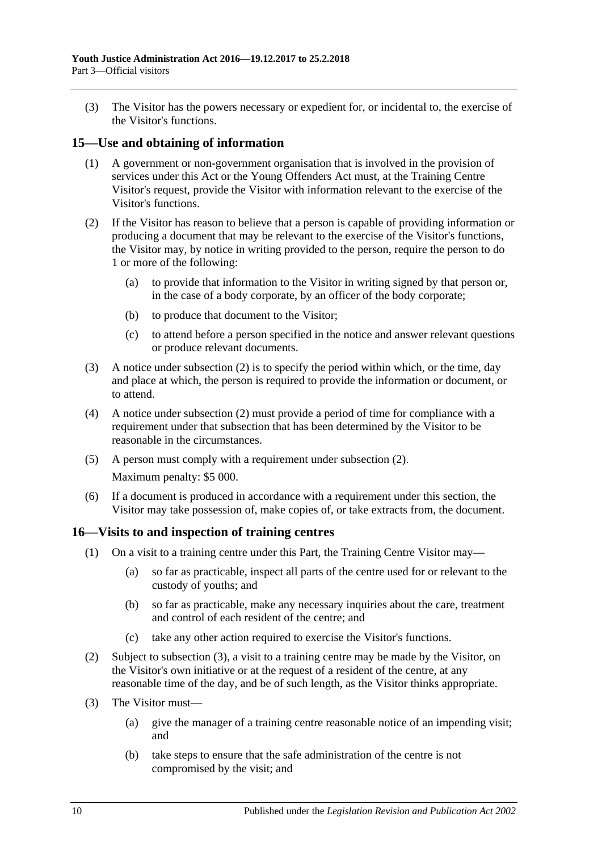(3) The Visitor has the powers necessary or expedient for, or incidental to, the exercise of the Visitor's functions.

### <span id="page-9-0"></span>**15—Use and obtaining of information**

- (1) A government or non-government organisation that is involved in the provision of services under this Act or the Young Offenders Act must, at the Training Centre Visitor's request, provide the Visitor with information relevant to the exercise of the Visitor's functions.
- <span id="page-9-2"></span>(2) If the Visitor has reason to believe that a person is capable of providing information or producing a document that may be relevant to the exercise of the Visitor's functions, the Visitor may, by notice in writing provided to the person, require the person to do 1 or more of the following:
	- (a) to provide that information to the Visitor in writing signed by that person or, in the case of a body corporate, by an officer of the body corporate;
	- (b) to produce that document to the Visitor;
	- (c) to attend before a person specified in the notice and answer relevant questions or produce relevant documents.
- (3) A notice under [subsection](#page-9-2) (2) is to specify the period within which, or the time, day and place at which, the person is required to provide the information or document, or to attend.
- (4) A notice under [subsection](#page-9-2) (2) must provide a period of time for compliance with a requirement under that subsection that has been determined by the Visitor to be reasonable in the circumstances.
- (5) A person must comply with a requirement under [subsection](#page-9-2) (2). Maximum penalty: \$5 000.
- (6) If a document is produced in accordance with a requirement under this section, the Visitor may take possession of, make copies of, or take extracts from, the document.

### <span id="page-9-1"></span>**16—Visits to and inspection of training centres**

- (1) On a visit to a training centre under this Part, the Training Centre Visitor may—
	- (a) so far as practicable, inspect all parts of the centre used for or relevant to the custody of youths; and
	- (b) so far as practicable, make any necessary inquiries about the care, treatment and control of each resident of the centre; and
	- (c) take any other action required to exercise the Visitor's functions.
- (2) Subject to [subsection](#page-9-3) (3), a visit to a training centre may be made by the Visitor, on the Visitor's own initiative or at the request of a resident of the centre, at any reasonable time of the day, and be of such length, as the Visitor thinks appropriate.
- <span id="page-9-4"></span><span id="page-9-3"></span>(3) The Visitor must—
	- (a) give the manager of a training centre reasonable notice of an impending visit; and
	- (b) take steps to ensure that the safe administration of the centre is not compromised by the visit; and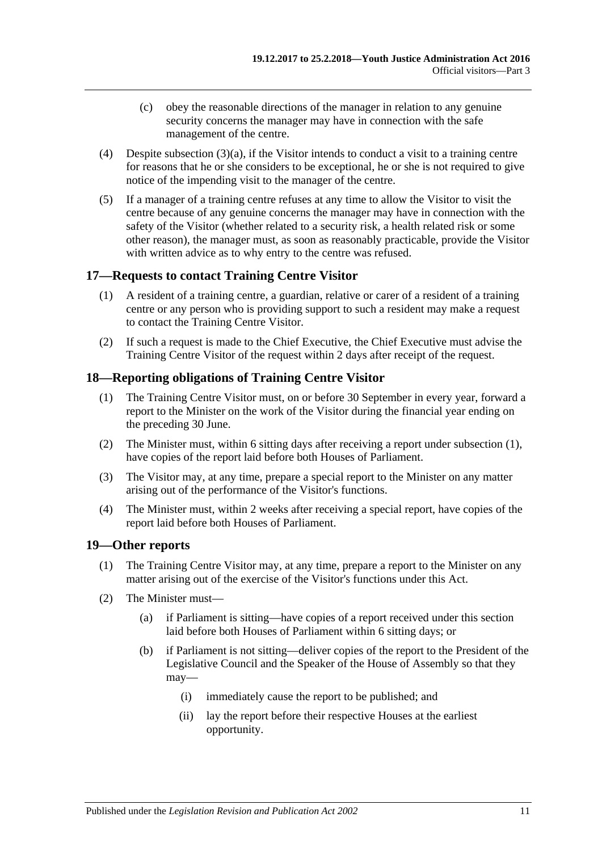- (c) obey the reasonable directions of the manager in relation to any genuine security concerns the manager may have in connection with the safe management of the centre.
- (4) Despite [subsection](#page-9-4) (3)(a), if the Visitor intends to conduct a visit to a training centre for reasons that he or she considers to be exceptional, he or she is not required to give notice of the impending visit to the manager of the centre.
- (5) If a manager of a training centre refuses at any time to allow the Visitor to visit the centre because of any genuine concerns the manager may have in connection with the safety of the Visitor (whether related to a security risk, a health related risk or some other reason), the manager must, as soon as reasonably practicable, provide the Visitor with written advice as to why entry to the centre was refused.

## <span id="page-10-0"></span>**17—Requests to contact Training Centre Visitor**

- (1) A resident of a training centre, a guardian, relative or carer of a resident of a training centre or any person who is providing support to such a resident may make a request to contact the Training Centre Visitor.
- (2) If such a request is made to the Chief Executive, the Chief Executive must advise the Training Centre Visitor of the request within 2 days after receipt of the request.

## <span id="page-10-3"></span><span id="page-10-1"></span>**18—Reporting obligations of Training Centre Visitor**

- (1) The Training Centre Visitor must, on or before 30 September in every year, forward a report to the Minister on the work of the Visitor during the financial year ending on the preceding 30 June.
- (2) The Minister must, within 6 sitting days after receiving a report under [subsection](#page-10-3) (1), have copies of the report laid before both Houses of Parliament.
- (3) The Visitor may, at any time, prepare a special report to the Minister on any matter arising out of the performance of the Visitor's functions.
- (4) The Minister must, within 2 weeks after receiving a special report, have copies of the report laid before both Houses of Parliament.

#### <span id="page-10-2"></span>**19—Other reports**

- (1) The Training Centre Visitor may, at any time, prepare a report to the Minister on any matter arising out of the exercise of the Visitor's functions under this Act.
- <span id="page-10-4"></span>(2) The Minister must—
	- (a) if Parliament is sitting—have copies of a report received under this section laid before both Houses of Parliament within 6 sitting days; or
	- (b) if Parliament is not sitting—deliver copies of the report to the President of the Legislative Council and the Speaker of the House of Assembly so that they may—
		- (i) immediately cause the report to be published; and
		- (ii) lay the report before their respective Houses at the earliest opportunity.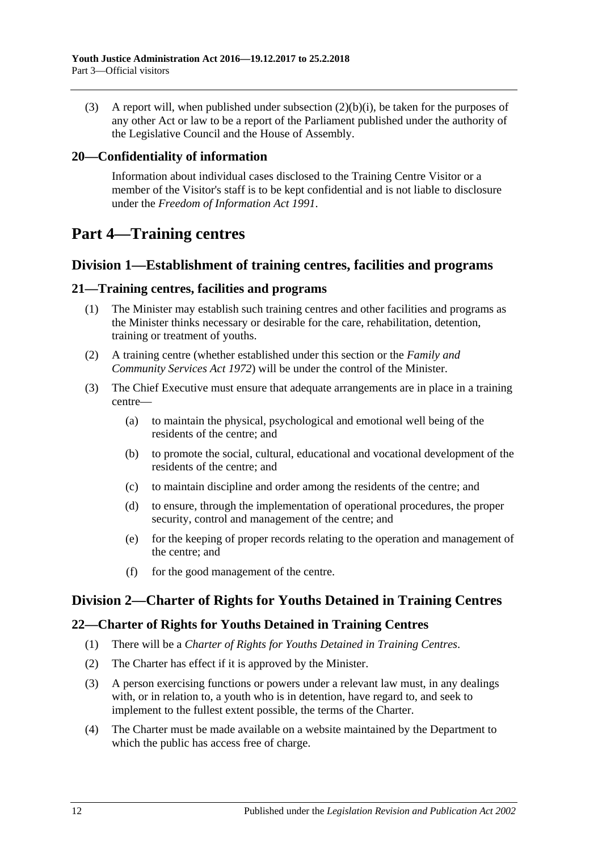(3) A report will, when published under [subsection](#page-10-4) (2)(b)(i), be taken for the purposes of any other Act or law to be a report of the Parliament published under the authority of the Legislative Council and the House of Assembly.

## <span id="page-11-0"></span>**20—Confidentiality of information**

Information about individual cases disclosed to the Training Centre Visitor or a member of the Visitor's staff is to be kept confidential and is not liable to disclosure under the *[Freedom of Information Act](http://www.legislation.sa.gov.au/index.aspx?action=legref&type=act&legtitle=Freedom%20of%20Information%20Act%201991) 1991*.

## <span id="page-11-1"></span>**Part 4—Training centres**

## <span id="page-11-2"></span>**Division 1—Establishment of training centres, facilities and programs**

### <span id="page-11-3"></span>**21—Training centres, facilities and programs**

- (1) The Minister may establish such training centres and other facilities and programs as the Minister thinks necessary or desirable for the care, rehabilitation, detention, training or treatment of youths.
- (2) A training centre (whether established under this section or the *[Family and](http://www.legislation.sa.gov.au/index.aspx?action=legref&type=act&legtitle=Family%20and%20Community%20Services%20Act%201972)  [Community Services Act](http://www.legislation.sa.gov.au/index.aspx?action=legref&type=act&legtitle=Family%20and%20Community%20Services%20Act%201972) 1972*) will be under the control of the Minister.
- (3) The Chief Executive must ensure that adequate arrangements are in place in a training centre—
	- (a) to maintain the physical, psychological and emotional well being of the residents of the centre; and
	- (b) to promote the social, cultural, educational and vocational development of the residents of the centre; and
	- (c) to maintain discipline and order among the residents of the centre; and
	- (d) to ensure, through the implementation of operational procedures, the proper security, control and management of the centre; and
	- (e) for the keeping of proper records relating to the operation and management of the centre; and
	- (f) for the good management of the centre.

## <span id="page-11-4"></span>**Division 2—Charter of Rights for Youths Detained in Training Centres**

### <span id="page-11-5"></span>**22—Charter of Rights for Youths Detained in Training Centres**

- (1) There will be a *Charter of Rights for Youths Detained in Training Centres*.
- (2) The Charter has effect if it is approved by the Minister.
- (3) A person exercising functions or powers under a relevant law must, in any dealings with, or in relation to, a youth who is in detention, have regard to, and seek to implement to the fullest extent possible, the terms of the Charter.
- (4) The Charter must be made available on a website maintained by the Department to which the public has access free of charge.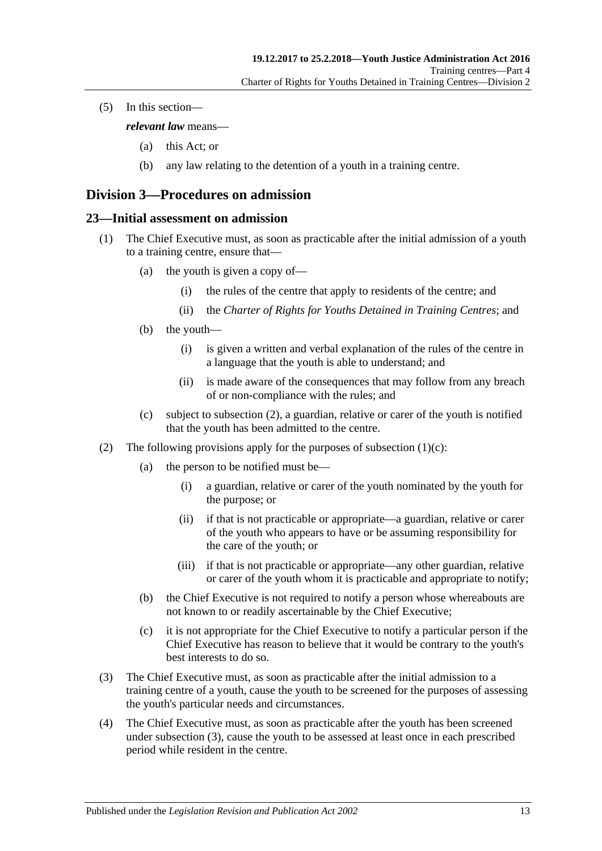(5) In this section—

*relevant law* means—

- (a) this Act; or
- (b) any law relating to the detention of a youth in a training centre.

## <span id="page-12-0"></span>**Division 3—Procedures on admission**

#### <span id="page-12-1"></span>**23—Initial assessment on admission**

- (1) The Chief Executive must, as soon as practicable after the initial admission of a youth to a training centre, ensure that—
	- (a) the youth is given a copy of—
		- (i) the rules of the centre that apply to residents of the centre; and
		- (ii) the *Charter of Rights for Youths Detained in Training Centres*; and
	- (b) the youth—
		- (i) is given a written and verbal explanation of the rules of the centre in a language that the youth is able to understand; and
		- (ii) is made aware of the consequences that may follow from any breach of or non-compliance with the rules; and
	- (c) subject to [subsection](#page-12-2) (2), a guardian, relative or carer of the youth is notified that the youth has been admitted to the centre.
- <span id="page-12-3"></span><span id="page-12-2"></span>(2) The following provisions apply for the purposes of [subsection](#page-12-3)  $(1)(c)$ :
	- (a) the person to be notified must be—
		- (i) a guardian, relative or carer of the youth nominated by the youth for the purpose; or
		- (ii) if that is not practicable or appropriate—a guardian, relative or carer of the youth who appears to have or be assuming responsibility for the care of the youth; or
		- (iii) if that is not practicable or appropriate—any other guardian, relative or carer of the youth whom it is practicable and appropriate to notify;
	- (b) the Chief Executive is not required to notify a person whose whereabouts are not known to or readily ascertainable by the Chief Executive;
	- (c) it is not appropriate for the Chief Executive to notify a particular person if the Chief Executive has reason to believe that it would be contrary to the youth's best interests to do so.
- <span id="page-12-4"></span>(3) The Chief Executive must, as soon as practicable after the initial admission to a training centre of a youth, cause the youth to be screened for the purposes of assessing the youth's particular needs and circumstances.
- <span id="page-12-5"></span>(4) The Chief Executive must, as soon as practicable after the youth has been screened under [subsection](#page-12-4) (3), cause the youth to be assessed at least once in each prescribed period while resident in the centre.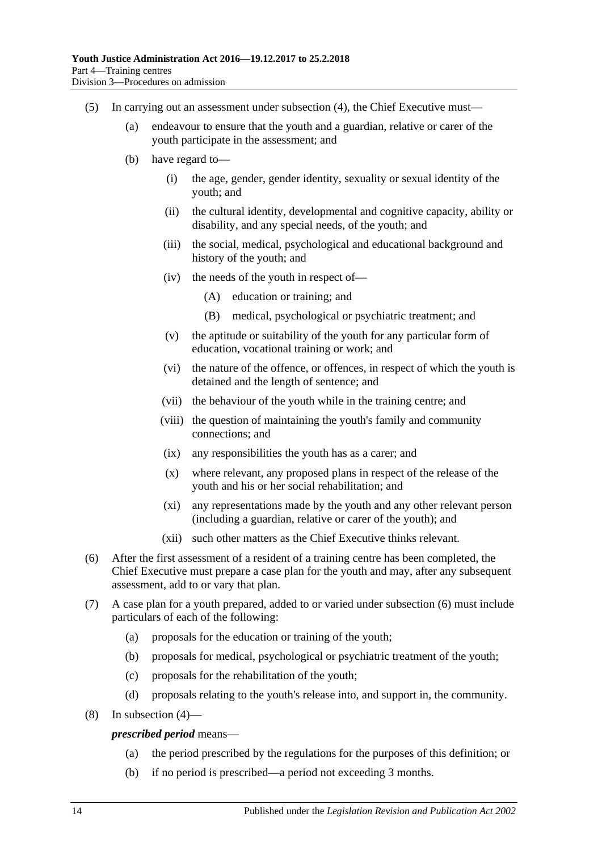- (5) In carrying out an assessment under [subsection](#page-12-5) (4), the Chief Executive must—
	- (a) endeavour to ensure that the youth and a guardian, relative or carer of the youth participate in the assessment; and
	- (b) have regard to—
		- (i) the age, gender, gender identity, sexuality or sexual identity of the youth; and
		- (ii) the cultural identity, developmental and cognitive capacity, ability or disability, and any special needs, of the youth; and
		- (iii) the social, medical, psychological and educational background and history of the youth; and
		- (iv) the needs of the youth in respect of—
			- (A) education or training; and
			- (B) medical, psychological or psychiatric treatment; and
		- (v) the aptitude or suitability of the youth for any particular form of education, vocational training or work; and
		- (vi) the nature of the offence, or offences, in respect of which the youth is detained and the length of sentence; and
		- (vii) the behaviour of the youth while in the training centre; and
		- (viii) the question of maintaining the youth's family and community connections; and
		- (ix) any responsibilities the youth has as a carer; and
		- (x) where relevant, any proposed plans in respect of the release of the youth and his or her social rehabilitation; and
		- (xi) any representations made by the youth and any other relevant person (including a guardian, relative or carer of the youth); and
		- (xii) such other matters as the Chief Executive thinks relevant.
- <span id="page-13-0"></span>(6) After the first assessment of a resident of a training centre has been completed, the Chief Executive must prepare a case plan for the youth and may, after any subsequent assessment, add to or vary that plan.
- (7) A case plan for a youth prepared, added to or varied under [subsection](#page-13-0) (6) must include particulars of each of the following:
	- (a) proposals for the education or training of the youth;
	- (b) proposals for medical, psychological or psychiatric treatment of the youth;
	- (c) proposals for the rehabilitation of the youth;
	- (d) proposals relating to the youth's release into, and support in, the community.
- (8) In [subsection](#page-12-5) (4)—

#### *prescribed period* means—

- (a) the period prescribed by the regulations for the purposes of this definition; or
- (b) if no period is prescribed—a period not exceeding 3 months.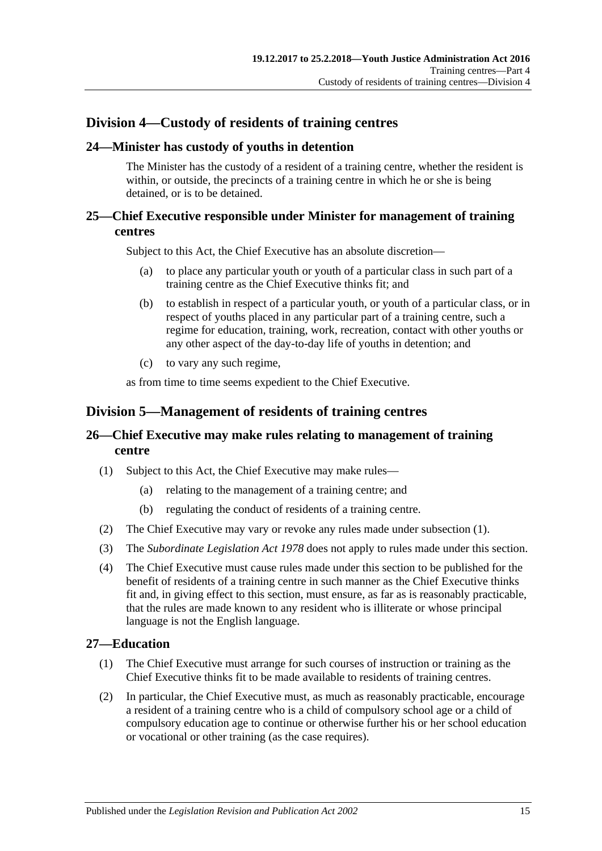## <span id="page-14-0"></span>**Division 4—Custody of residents of training centres**

## <span id="page-14-1"></span>**24—Minister has custody of youths in detention**

The Minister has the custody of a resident of a training centre, whether the resident is within, or outside, the precincts of a training centre in which he or she is being detained, or is to be detained.

## <span id="page-14-2"></span>**25—Chief Executive responsible under Minister for management of training centres**

Subject to this Act, the Chief Executive has an absolute discretion—

- (a) to place any particular youth or youth of a particular class in such part of a training centre as the Chief Executive thinks fit; and
- (b) to establish in respect of a particular youth, or youth of a particular class, or in respect of youths placed in any particular part of a training centre, such a regime for education, training, work, recreation, contact with other youths or any other aspect of the day-to-day life of youths in detention; and
- (c) to vary any such regime,

as from time to time seems expedient to the Chief Executive.

## <span id="page-14-3"></span>**Division 5—Management of residents of training centres**

## <span id="page-14-4"></span>**26—Chief Executive may make rules relating to management of training centre**

- <span id="page-14-6"></span>(1) Subject to this Act, the Chief Executive may make rules—
	- (a) relating to the management of a training centre; and
	- (b) regulating the conduct of residents of a training centre.
- (2) The Chief Executive may vary or revoke any rules made under [subsection](#page-14-6) (1).
- (3) The *[Subordinate Legislation Act](http://www.legislation.sa.gov.au/index.aspx?action=legref&type=act&legtitle=Subordinate%20Legislation%20Act%201978) 1978* does not apply to rules made under this section.
- (4) The Chief Executive must cause rules made under this section to be published for the benefit of residents of a training centre in such manner as the Chief Executive thinks fit and, in giving effect to this section, must ensure, as far as is reasonably practicable, that the rules are made known to any resident who is illiterate or whose principal language is not the English language.

## <span id="page-14-5"></span>**27—Education**

- (1) The Chief Executive must arrange for such courses of instruction or training as the Chief Executive thinks fit to be made available to residents of training centres.
- (2) In particular, the Chief Executive must, as much as reasonably practicable, encourage a resident of a training centre who is a child of compulsory school age or a child of compulsory education age to continue or otherwise further his or her school education or vocational or other training (as the case requires).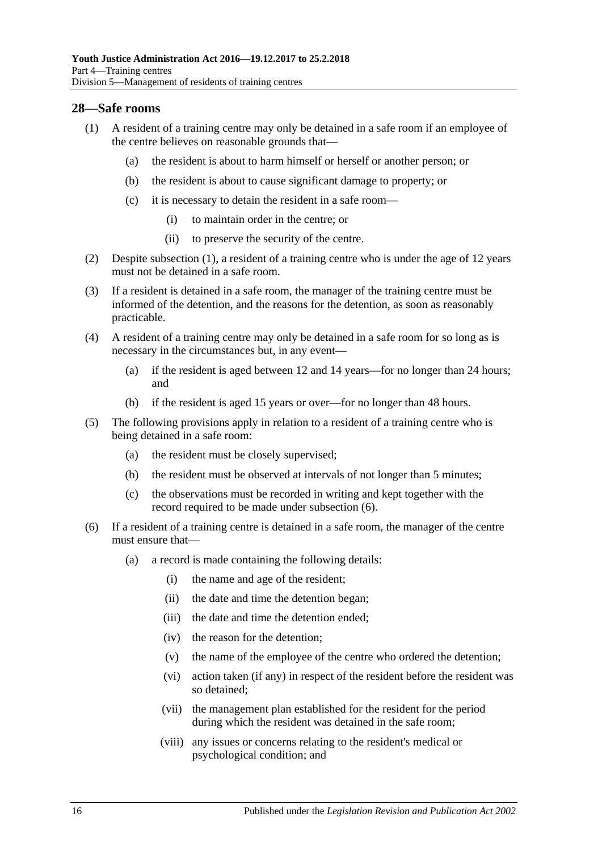#### <span id="page-15-1"></span><span id="page-15-0"></span>**28—Safe rooms**

- (1) A resident of a training centre may only be detained in a safe room if an employee of the centre believes on reasonable grounds that—
	- (a) the resident is about to harm himself or herself or another person; or
	- (b) the resident is about to cause significant damage to property; or
	- (c) it is necessary to detain the resident in a safe room—
		- (i) to maintain order in the centre; or
		- (ii) to preserve the security of the centre.
- (2) Despite [subsection](#page-15-1) (1), a resident of a training centre who is under the age of 12 years must not be detained in a safe room.
- (3) If a resident is detained in a safe room, the manager of the training centre must be informed of the detention, and the reasons for the detention, as soon as reasonably practicable.
- (4) A resident of a training centre may only be detained in a safe room for so long as is necessary in the circumstances but, in any event—
	- (a) if the resident is aged between 12 and 14 years—for no longer than 24 hours; and
	- (b) if the resident is aged 15 years or over—for no longer than 48 hours.
- (5) The following provisions apply in relation to a resident of a training centre who is being detained in a safe room:
	- (a) the resident must be closely supervised;
	- (b) the resident must be observed at intervals of not longer than 5 minutes;
	- (c) the observations must be recorded in writing and kept together with the record required to be made under [subsection](#page-15-2) (6).
- <span id="page-15-2"></span>(6) If a resident of a training centre is detained in a safe room, the manager of the centre must ensure that—
	- (a) a record is made containing the following details:
		- (i) the name and age of the resident;
		- (ii) the date and time the detention began;
		- (iii) the date and time the detention ended:
		- (iv) the reason for the detention;
		- (v) the name of the employee of the centre who ordered the detention;
		- (vi) action taken (if any) in respect of the resident before the resident was so detained;
		- (vii) the management plan established for the resident for the period during which the resident was detained in the safe room;
		- (viii) any issues or concerns relating to the resident's medical or psychological condition; and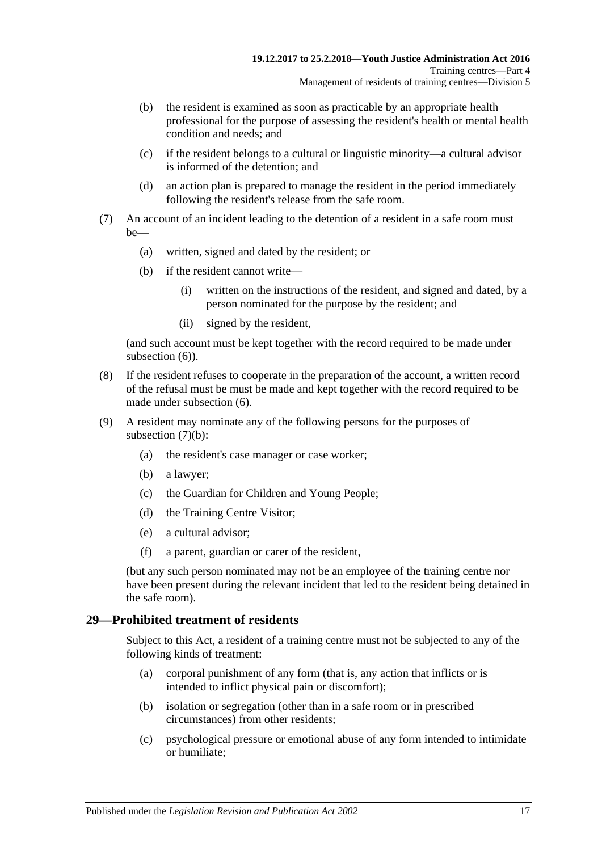- (b) the resident is examined as soon as practicable by an appropriate health professional for the purpose of assessing the resident's health or mental health condition and needs; and
- (c) if the resident belongs to a cultural or linguistic minority—a cultural advisor is informed of the detention; and
- (d) an action plan is prepared to manage the resident in the period immediately following the resident's release from the safe room.
- <span id="page-16-1"></span>(7) An account of an incident leading to the detention of a resident in a safe room must be—
	- (a) written, signed and dated by the resident; or
	- (b) if the resident cannot write—
		- (i) written on the instructions of the resident, and signed and dated, by a person nominated for the purpose by the resident; and
		- (ii) signed by the resident,

(and such account must be kept together with the record required to be made under [subsection](#page-15-2)  $(6)$ ).

- (8) If the resident refuses to cooperate in the preparation of the account, a written record of the refusal must be must be made and kept together with the record required to be made under [subsection](#page-15-2) (6).
- (9) A resident may nominate any of the following persons for the purposes of [subsection](#page-16-1)  $(7)(b)$ :
	- (a) the resident's case manager or case worker;
	- (b) a lawyer;
	- (c) the Guardian for Children and Young People;
	- (d) the Training Centre Visitor;
	- (e) a cultural advisor;
	- (f) a parent, guardian or carer of the resident,

(but any such person nominated may not be an employee of the training centre nor have been present during the relevant incident that led to the resident being detained in the safe room).

#### <span id="page-16-0"></span>**29—Prohibited treatment of residents**

Subject to this Act, a resident of a training centre must not be subjected to any of the following kinds of treatment:

- (a) corporal punishment of any form (that is, any action that inflicts or is intended to inflict physical pain or discomfort);
- (b) isolation or segregation (other than in a safe room or in prescribed circumstances) from other residents;
- (c) psychological pressure or emotional abuse of any form intended to intimidate or humiliate;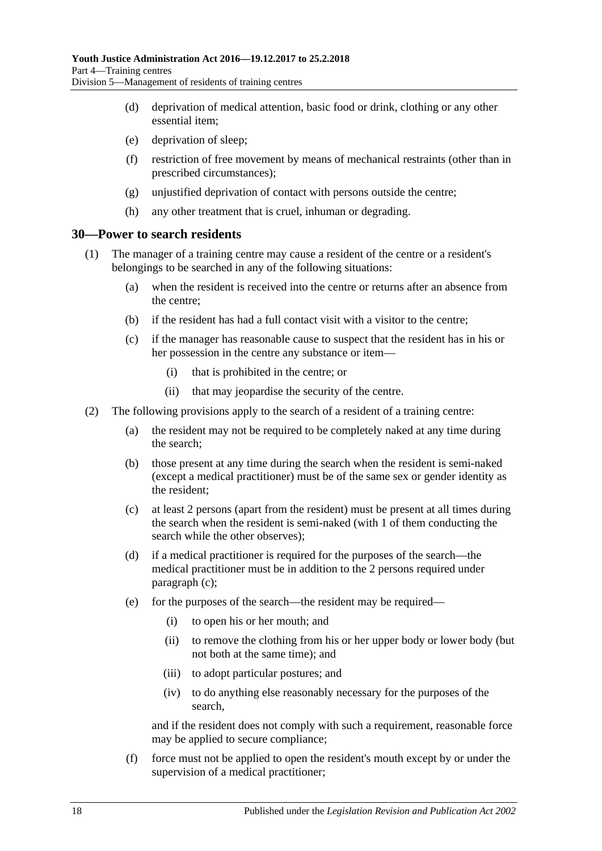- (d) deprivation of medical attention, basic food or drink, clothing or any other essential item;
- (e) deprivation of sleep;
- (f) restriction of free movement by means of mechanical restraints (other than in prescribed circumstances);
- (g) unjustified deprivation of contact with persons outside the centre;
- (h) any other treatment that is cruel, inhuman or degrading.

#### <span id="page-17-0"></span>**30—Power to search residents**

- (1) The manager of a training centre may cause a resident of the centre or a resident's belongings to be searched in any of the following situations:
	- (a) when the resident is received into the centre or returns after an absence from the centre;
	- (b) if the resident has had a full contact visit with a visitor to the centre;
	- (c) if the manager has reasonable cause to suspect that the resident has in his or her possession in the centre any substance or item—
		- (i) that is prohibited in the centre; or
		- (ii) that may jeopardise the security of the centre.
- <span id="page-17-2"></span><span id="page-17-1"></span>(2) The following provisions apply to the search of a resident of a training centre:
	- (a) the resident may not be required to be completely naked at any time during the search;
	- (b) those present at any time during the search when the resident is semi-naked (except a medical practitioner) must be of the same sex or gender identity as the resident;
	- (c) at least 2 persons (apart from the resident) must be present at all times during the search when the resident is semi-naked (with 1 of them conducting the search while the other observes);
	- (d) if a medical practitioner is required for the purposes of the search—the medical practitioner must be in addition to the 2 persons required under [paragraph](#page-17-1) (c);
	- (e) for the purposes of the search—the resident may be required—
		- (i) to open his or her mouth; and
		- (ii) to remove the clothing from his or her upper body or lower body (but not both at the same time); and
		- (iii) to adopt particular postures; and
		- (iv) to do anything else reasonably necessary for the purposes of the search,

and if the resident does not comply with such a requirement, reasonable force may be applied to secure compliance;

(f) force must not be applied to open the resident's mouth except by or under the supervision of a medical practitioner;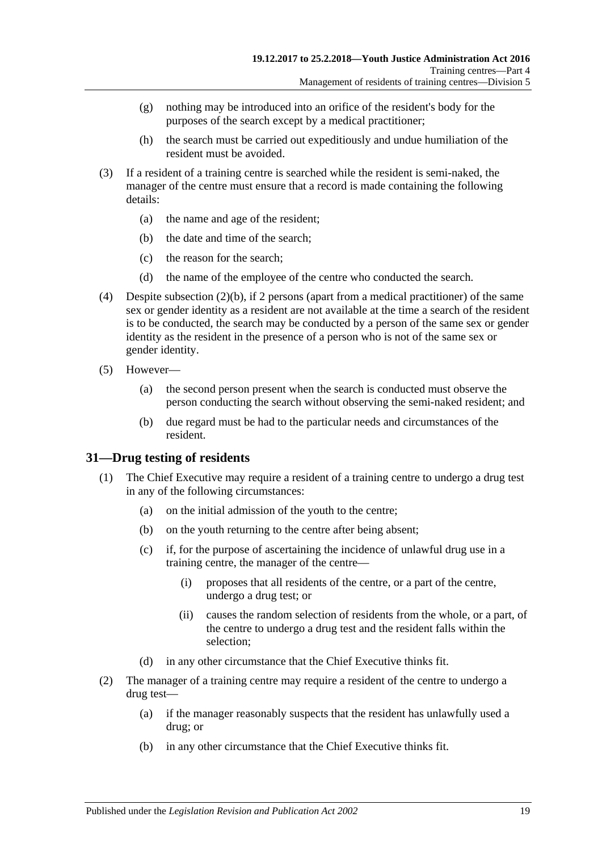- (g) nothing may be introduced into an orifice of the resident's body for the purposes of the search except by a medical practitioner;
- (h) the search must be carried out expeditiously and undue humiliation of the resident must be avoided.
- (3) If a resident of a training centre is searched while the resident is semi-naked, the manager of the centre must ensure that a record is made containing the following details:
	- (a) the name and age of the resident;
	- (b) the date and time of the search;
	- (c) the reason for the search;
	- (d) the name of the employee of the centre who conducted the search.
- (4) Despite [subsection](#page-17-2)  $(2)(b)$ , if 2 persons (apart from a medical practitioner) of the same sex or gender identity as a resident are not available at the time a search of the resident is to be conducted, the search may be conducted by a person of the same sex or gender identity as the resident in the presence of a person who is not of the same sex or gender identity.
- (5) However—
	- (a) the second person present when the search is conducted must observe the person conducting the search without observing the semi-naked resident; and
	- (b) due regard must be had to the particular needs and circumstances of the resident.

### <span id="page-18-0"></span>**31—Drug testing of residents**

- (1) The Chief Executive may require a resident of a training centre to undergo a drug test in any of the following circumstances:
	- (a) on the initial admission of the youth to the centre;
	- (b) on the youth returning to the centre after being absent;
	- (c) if, for the purpose of ascertaining the incidence of unlawful drug use in a training centre, the manager of the centre—
		- (i) proposes that all residents of the centre, or a part of the centre, undergo a drug test; or
		- (ii) causes the random selection of residents from the whole, or a part, of the centre to undergo a drug test and the resident falls within the selection;
	- (d) in any other circumstance that the Chief Executive thinks fit.
- <span id="page-18-2"></span><span id="page-18-1"></span>(2) The manager of a training centre may require a resident of the centre to undergo a drug test—
	- (a) if the manager reasonably suspects that the resident has unlawfully used a drug; or
	- (b) in any other circumstance that the Chief Executive thinks fit.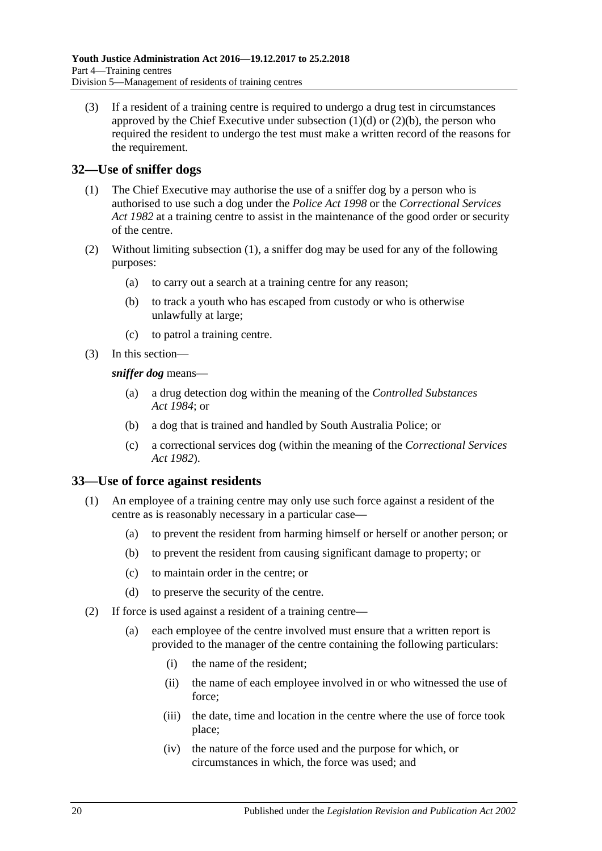(3) If a resident of a training centre is required to undergo a drug test in circumstances approved by the Chief Executive under [subsection](#page-18-1)  $(1)(d)$  or  $(2)(b)$ , the person who required the resident to undergo the test must make a written record of the reasons for the requirement.

## <span id="page-19-2"></span><span id="page-19-0"></span>**32—Use of sniffer dogs**

- (1) The Chief Executive may authorise the use of a sniffer dog by a person who is authorised to use such a dog under the *[Police Act](http://www.legislation.sa.gov.au/index.aspx?action=legref&type=act&legtitle=Police%20Act%201998) 1998* or the *[Correctional Services](http://www.legislation.sa.gov.au/index.aspx?action=legref&type=act&legtitle=Correctional%20Services%20Act%201982)  Act [1982](http://www.legislation.sa.gov.au/index.aspx?action=legref&type=act&legtitle=Correctional%20Services%20Act%201982)* at a training centre to assist in the maintenance of the good order or security of the centre.
- (2) Without limiting [subsection](#page-19-2) (1), a sniffer dog may be used for any of the following purposes:
	- (a) to carry out a search at a training centre for any reason;
	- (b) to track a youth who has escaped from custody or who is otherwise unlawfully at large;
	- (c) to patrol a training centre.
- (3) In this section—

*sniffer dog* means—

- (a) a drug detection dog within the meaning of the *[Controlled Substances](http://www.legislation.sa.gov.au/index.aspx?action=legref&type=act&legtitle=Controlled%20Substances%20Act%201984)  Act [1984](http://www.legislation.sa.gov.au/index.aspx?action=legref&type=act&legtitle=Controlled%20Substances%20Act%201984)*; or
- (b) a dog that is trained and handled by South Australia Police; or
- (c) a correctional services dog (within the meaning of the *[Correctional Services](http://www.legislation.sa.gov.au/index.aspx?action=legref&type=act&legtitle=Correctional%20Services%20Act%201982)  Act [1982](http://www.legislation.sa.gov.au/index.aspx?action=legref&type=act&legtitle=Correctional%20Services%20Act%201982)*).

### <span id="page-19-1"></span>**33—Use of force against residents**

- (1) An employee of a training centre may only use such force against a resident of the centre as is reasonably necessary in a particular case—
	- (a) to prevent the resident from harming himself or herself or another person; or
	- (b) to prevent the resident from causing significant damage to property; or
	- (c) to maintain order in the centre; or
	- (d) to preserve the security of the centre.
- <span id="page-19-3"></span>(2) If force is used against a resident of a training centre—
	- (a) each employee of the centre involved must ensure that a written report is provided to the manager of the centre containing the following particulars:
		- (i) the name of the resident;
		- (ii) the name of each employee involved in or who witnessed the use of force;
		- (iii) the date, time and location in the centre where the use of force took place;
		- (iv) the nature of the force used and the purpose for which, or circumstances in which, the force was used; and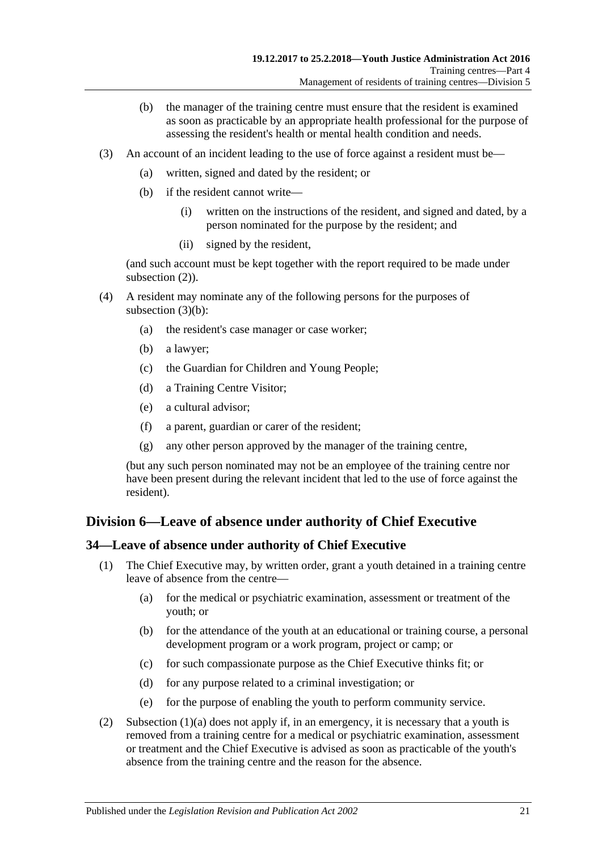- (b) the manager of the training centre must ensure that the resident is examined as soon as practicable by an appropriate health professional for the purpose of assessing the resident's health or mental health condition and needs.
- <span id="page-20-2"></span>(3) An account of an incident leading to the use of force against a resident must be—
	- (a) written, signed and dated by the resident; or
	- (b) if the resident cannot write—
		- (i) written on the instructions of the resident, and signed and dated, by a person nominated for the purpose by the resident; and
		- (ii) signed by the resident,

(and such account must be kept together with the report required to be made under [subsection](#page-19-3)  $(2)$ ).

- (4) A resident may nominate any of the following persons for the purposes of [subsection](#page-20-2)  $(3)(b)$ :
	- (a) the resident's case manager or case worker;
	- (b) a lawyer;
	- (c) the Guardian for Children and Young People;
	- (d) a Training Centre Visitor;
	- (e) a cultural advisor;
	- (f) a parent, guardian or carer of the resident;
	- (g) any other person approved by the manager of the training centre,

(but any such person nominated may not be an employee of the training centre nor have been present during the relevant incident that led to the use of force against the resident).

## <span id="page-20-0"></span>**Division 6—Leave of absence under authority of Chief Executive**

### <span id="page-20-1"></span>**34—Leave of absence under authority of Chief Executive**

- <span id="page-20-3"></span>(1) The Chief Executive may, by written order, grant a youth detained in a training centre leave of absence from the centre—
	- (a) for the medical or psychiatric examination, assessment or treatment of the youth; or
	- (b) for the attendance of the youth at an educational or training course, a personal development program or a work program, project or camp; or
	- (c) for such compassionate purpose as the Chief Executive thinks fit; or
	- (d) for any purpose related to a criminal investigation; or
	- (e) for the purpose of enabling the youth to perform community service.
- (2) Subsection  $(1)(a)$  does not apply if, in an emergency, it is necessary that a youth is removed from a training centre for a medical or psychiatric examination, assessment or treatment and the Chief Executive is advised as soon as practicable of the youth's absence from the training centre and the reason for the absence.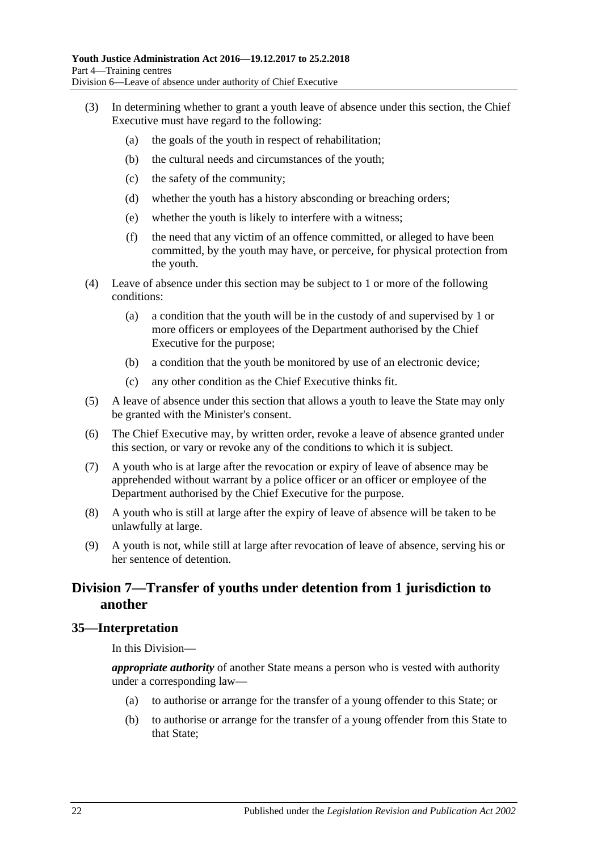- (3) In determining whether to grant a youth leave of absence under this section, the Chief Executive must have regard to the following:
	- (a) the goals of the youth in respect of rehabilitation;
	- (b) the cultural needs and circumstances of the youth;
	- (c) the safety of the community;
	- (d) whether the youth has a history absconding or breaching orders;
	- (e) whether the youth is likely to interfere with a witness;
	- (f) the need that any victim of an offence committed, or alleged to have been committed, by the youth may have, or perceive, for physical protection from the youth.
- (4) Leave of absence under this section may be subject to 1 or more of the following conditions:
	- (a) a condition that the youth will be in the custody of and supervised by 1 or more officers or employees of the Department authorised by the Chief Executive for the purpose;
	- (b) a condition that the youth be monitored by use of an electronic device;
	- (c) any other condition as the Chief Executive thinks fit.
- (5) A leave of absence under this section that allows a youth to leave the State may only be granted with the Minister's consent.
- (6) The Chief Executive may, by written order, revoke a leave of absence granted under this section, or vary or revoke any of the conditions to which it is subject.
- (7) A youth who is at large after the revocation or expiry of leave of absence may be apprehended without warrant by a police officer or an officer or employee of the Department authorised by the Chief Executive for the purpose.
- (8) A youth who is still at large after the expiry of leave of absence will be taken to be unlawfully at large.
- (9) A youth is not, while still at large after revocation of leave of absence, serving his or her sentence of detention.

## <span id="page-21-0"></span>**Division 7—Transfer of youths under detention from 1 jurisdiction to another**

#### <span id="page-21-1"></span>**35—Interpretation**

In this Division—

*appropriate authority* of another State means a person who is vested with authority under a corresponding law—

- (a) to authorise or arrange for the transfer of a young offender to this State; or
- (b) to authorise or arrange for the transfer of a young offender from this State to that State;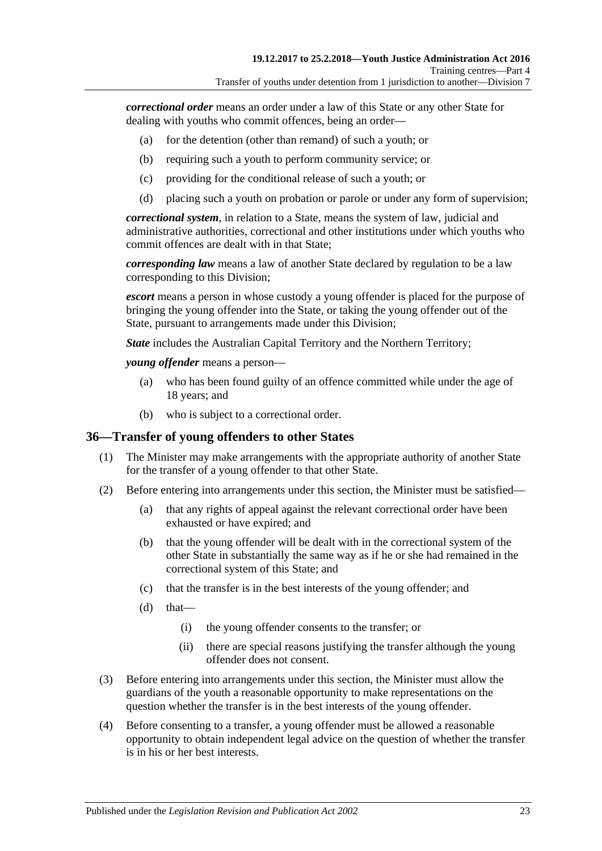*correctional order* means an order under a law of this State or any other State for dealing with youths who commit offences, being an order—

- (a) for the detention (other than remand) of such a youth; or
- (b) requiring such a youth to perform community service; or
- (c) providing for the conditional release of such a youth; or
- (d) placing such a youth on probation or parole or under any form of supervision;

*correctional system*, in relation to a State, means the system of law, judicial and administrative authorities, correctional and other institutions under which youths who commit offences are dealt with in that State;

*corresponding law* means a law of another State declared by regulation to be a law corresponding to this Division;

*escort* means a person in whose custody a young offender is placed for the purpose of bringing the young offender into the State, or taking the young offender out of the State, pursuant to arrangements made under this Division;

*State* includes the Australian Capital Territory and the Northern Territory;

*young offender* means a person—

- (a) who has been found guilty of an offence committed while under the age of 18 years; and
- (b) who is subject to a correctional order.

#### <span id="page-22-0"></span>**36—Transfer of young offenders to other States**

- (1) The Minister may make arrangements with the appropriate authority of another State for the transfer of a young offender to that other State.
- (2) Before entering into arrangements under this section, the Minister must be satisfied—
	- (a) that any rights of appeal against the relevant correctional order have been exhausted or have expired; and
	- (b) that the young offender will be dealt with in the correctional system of the other State in substantially the same way as if he or she had remained in the correctional system of this State; and
	- (c) that the transfer is in the best interests of the young offender; and
	- $(d)$  that—
		- (i) the young offender consents to the transfer; or
		- (ii) there are special reasons justifying the transfer although the young offender does not consent.
- (3) Before entering into arrangements under this section, the Minister must allow the guardians of the youth a reasonable opportunity to make representations on the question whether the transfer is in the best interests of the young offender.
- (4) Before consenting to a transfer, a young offender must be allowed a reasonable opportunity to obtain independent legal advice on the question of whether the transfer is in his or her best interests.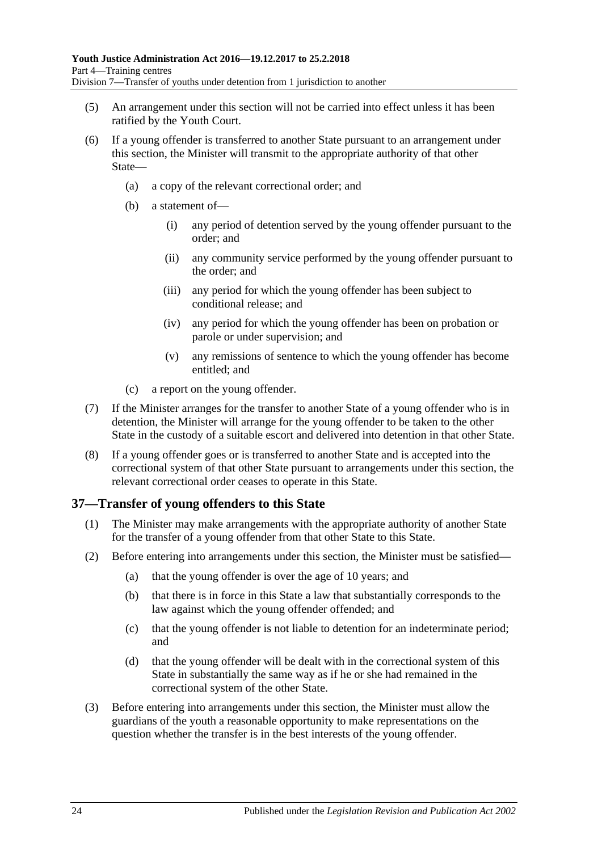- (5) An arrangement under this section will not be carried into effect unless it has been ratified by the Youth Court.
- (6) If a young offender is transferred to another State pursuant to an arrangement under this section, the Minister will transmit to the appropriate authority of that other State—
	- (a) a copy of the relevant correctional order; and
	- (b) a statement of—
		- (i) any period of detention served by the young offender pursuant to the order; and
		- (ii) any community service performed by the young offender pursuant to the order; and
		- (iii) any period for which the young offender has been subject to conditional release; and
		- (iv) any period for which the young offender has been on probation or parole or under supervision; and
		- (v) any remissions of sentence to which the young offender has become entitled; and
	- (c) a report on the young offender.
- (7) If the Minister arranges for the transfer to another State of a young offender who is in detention, the Minister will arrange for the young offender to be taken to the other State in the custody of a suitable escort and delivered into detention in that other State.
- (8) If a young offender goes or is transferred to another State and is accepted into the correctional system of that other State pursuant to arrangements under this section, the relevant correctional order ceases to operate in this State.

### <span id="page-23-0"></span>**37—Transfer of young offenders to this State**

- (1) The Minister may make arrangements with the appropriate authority of another State for the transfer of a young offender from that other State to this State.
- (2) Before entering into arrangements under this section, the Minister must be satisfied—
	- (a) that the young offender is over the age of 10 years; and
	- (b) that there is in force in this State a law that substantially corresponds to the law against which the young offender offended; and
	- (c) that the young offender is not liable to detention for an indeterminate period; and
	- (d) that the young offender will be dealt with in the correctional system of this State in substantially the same way as if he or she had remained in the correctional system of the other State.
- (3) Before entering into arrangements under this section, the Minister must allow the guardians of the youth a reasonable opportunity to make representations on the question whether the transfer is in the best interests of the young offender.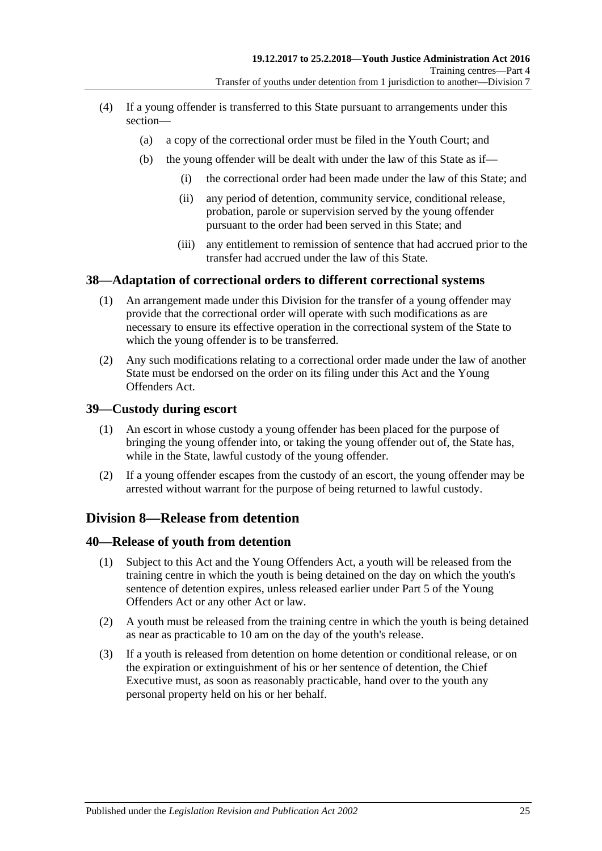- (4) If a young offender is transferred to this State pursuant to arrangements under this section—
	- (a) a copy of the correctional order must be filed in the Youth Court; and
	- (b) the young offender will be dealt with under the law of this State as if—
		- (i) the correctional order had been made under the law of this State; and
		- (ii) any period of detention, community service, conditional release, probation, parole or supervision served by the young offender pursuant to the order had been served in this State; and
		- (iii) any entitlement to remission of sentence that had accrued prior to the transfer had accrued under the law of this State.

## <span id="page-24-0"></span>**38—Adaptation of correctional orders to different correctional systems**

- (1) An arrangement made under this Division for the transfer of a young offender may provide that the correctional order will operate with such modifications as are necessary to ensure its effective operation in the correctional system of the State to which the young offender is to be transferred.
- (2) Any such modifications relating to a correctional order made under the law of another State must be endorsed on the order on its filing under this Act and the Young Offenders Act.

### <span id="page-24-1"></span>**39—Custody during escort**

- (1) An escort in whose custody a young offender has been placed for the purpose of bringing the young offender into, or taking the young offender out of, the State has, while in the State, lawful custody of the young offender.
- (2) If a young offender escapes from the custody of an escort, the young offender may be arrested without warrant for the purpose of being returned to lawful custody.

## <span id="page-24-2"></span>**Division 8—Release from detention**

### <span id="page-24-3"></span>**40—Release of youth from detention**

- (1) Subject to this Act and the Young Offenders Act, a youth will be released from the training centre in which the youth is being detained on the day on which the youth's sentence of detention expires, unless released earlier under Part 5 of the Young Offenders Act or any other Act or law.
- (2) A youth must be released from the training centre in which the youth is being detained as near as practicable to 10 am on the day of the youth's release.
- (3) If a youth is released from detention on home detention or conditional release, or on the expiration or extinguishment of his or her sentence of detention, the Chief Executive must, as soon as reasonably practicable, hand over to the youth any personal property held on his or her behalf.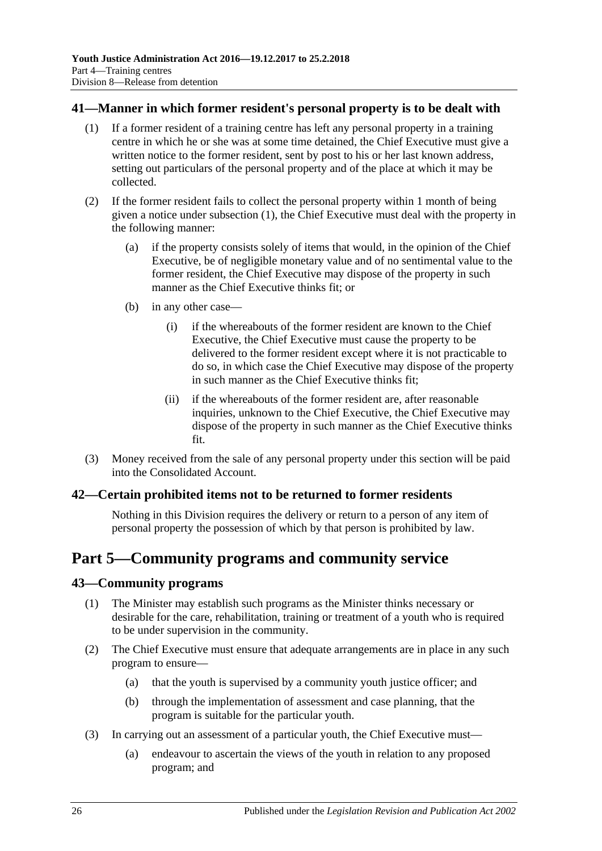### <span id="page-25-4"></span><span id="page-25-0"></span>**41—Manner in which former resident's personal property is to be dealt with**

- (1) If a former resident of a training centre has left any personal property in a training centre in which he or she was at some time detained, the Chief Executive must give a written notice to the former resident, sent by post to his or her last known address, setting out particulars of the personal property and of the place at which it may be collected.
- (2) If the former resident fails to collect the personal property within 1 month of being given a notice under [subsection](#page-25-4) (1), the Chief Executive must deal with the property in the following manner:
	- (a) if the property consists solely of items that would, in the opinion of the Chief Executive, be of negligible monetary value and of no sentimental value to the former resident, the Chief Executive may dispose of the property in such manner as the Chief Executive thinks fit; or
	- (b) in any other case—
		- (i) if the whereabouts of the former resident are known to the Chief Executive, the Chief Executive must cause the property to be delivered to the former resident except where it is not practicable to do so, in which case the Chief Executive may dispose of the property in such manner as the Chief Executive thinks fit;
		- (ii) if the whereabouts of the former resident are, after reasonable inquiries, unknown to the Chief Executive, the Chief Executive may dispose of the property in such manner as the Chief Executive thinks fit.
- (3) Money received from the sale of any personal property under this section will be paid into the Consolidated Account.

### <span id="page-25-1"></span>**42—Certain prohibited items not to be returned to former residents**

Nothing in this Division requires the delivery or return to a person of any item of personal property the possession of which by that person is prohibited by law.

## <span id="page-25-2"></span>**Part 5—Community programs and community service**

### <span id="page-25-3"></span>**43—Community programs**

- (1) The Minister may establish such programs as the Minister thinks necessary or desirable for the care, rehabilitation, training or treatment of a youth who is required to be under supervision in the community.
- (2) The Chief Executive must ensure that adequate arrangements are in place in any such program to ensure—
	- (a) that the youth is supervised by a community youth justice officer; and
	- (b) through the implementation of assessment and case planning, that the program is suitable for the particular youth.
- (3) In carrying out an assessment of a particular youth, the Chief Executive must—
	- (a) endeavour to ascertain the views of the youth in relation to any proposed program; and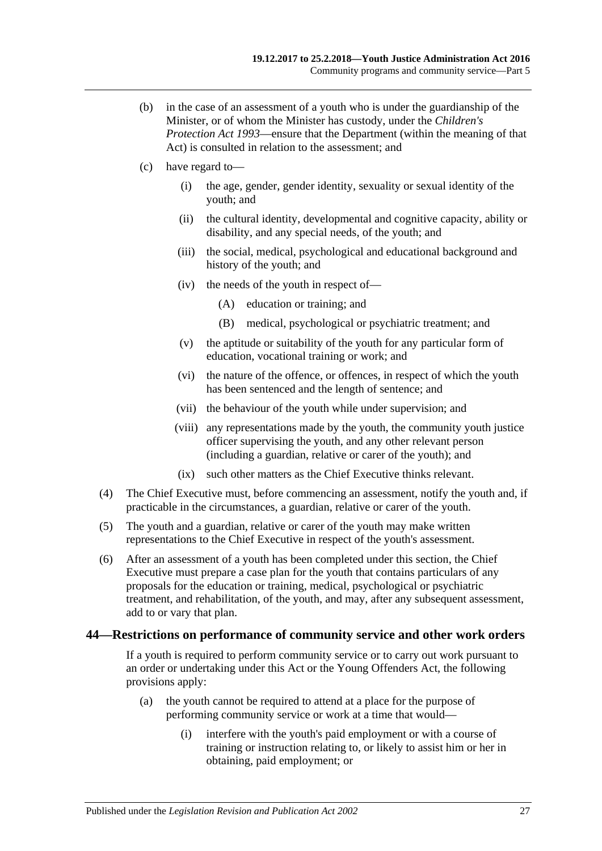- (b) in the case of an assessment of a youth who is under the guardianship of the Minister, or of whom the Minister has custody, under the *[Children's](http://www.legislation.sa.gov.au/index.aspx?action=legref&type=act&legtitle=Childrens%20Protection%20Act%201993)  [Protection Act](http://www.legislation.sa.gov.au/index.aspx?action=legref&type=act&legtitle=Childrens%20Protection%20Act%201993) 1993*—ensure that the Department (within the meaning of that Act) is consulted in relation to the assessment; and
- (c) have regard to—
	- (i) the age, gender, gender identity, sexuality or sexual identity of the youth; and
	- (ii) the cultural identity, developmental and cognitive capacity, ability or disability, and any special needs, of the youth; and
	- (iii) the social, medical, psychological and educational background and history of the youth; and
	- (iv) the needs of the youth in respect of—
		- (A) education or training; and
		- (B) medical, psychological or psychiatric treatment; and
	- (v) the aptitude or suitability of the youth for any particular form of education, vocational training or work; and
	- (vi) the nature of the offence, or offences, in respect of which the youth has been sentenced and the length of sentence; and
	- (vii) the behaviour of the youth while under supervision; and
	- (viii) any representations made by the youth, the community youth justice officer supervising the youth, and any other relevant person (including a guardian, relative or carer of the youth); and
	- (ix) such other matters as the Chief Executive thinks relevant.
- (4) The Chief Executive must, before commencing an assessment, notify the youth and, if practicable in the circumstances, a guardian, relative or carer of the youth.
- (5) The youth and a guardian, relative or carer of the youth may make written representations to the Chief Executive in respect of the youth's assessment.
- (6) After an assessment of a youth has been completed under this section, the Chief Executive must prepare a case plan for the youth that contains particulars of any proposals for the education or training, medical, psychological or psychiatric treatment, and rehabilitation, of the youth, and may, after any subsequent assessment, add to or vary that plan.

#### <span id="page-26-0"></span>**44—Restrictions on performance of community service and other work orders**

If a youth is required to perform community service or to carry out work pursuant to an order or undertaking under this Act or the Young Offenders Act, the following provisions apply:

- (a) the youth cannot be required to attend at a place for the purpose of performing community service or work at a time that would—
	- (i) interfere with the youth's paid employment or with a course of training or instruction relating to, or likely to assist him or her in obtaining, paid employment; or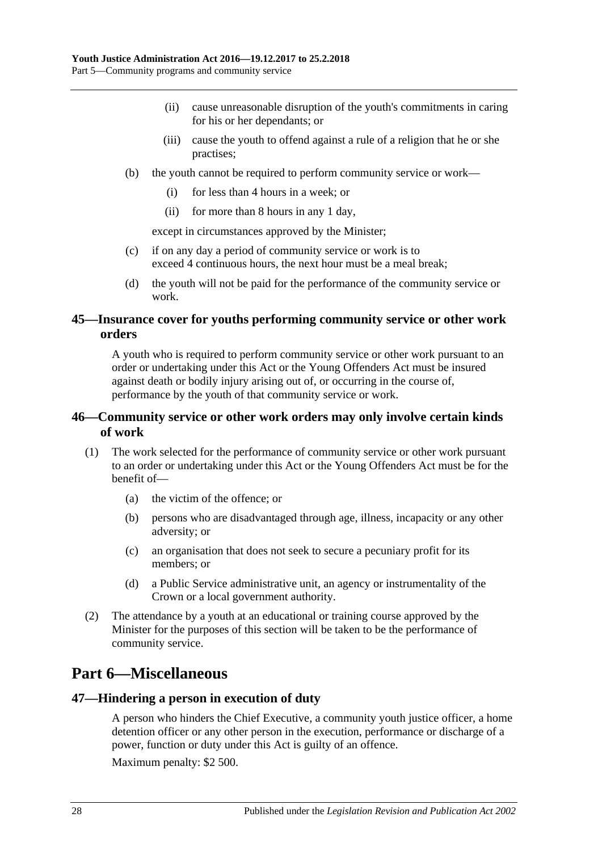- (ii) cause unreasonable disruption of the youth's commitments in caring for his or her dependants; or
- (iii) cause the youth to offend against a rule of a religion that he or she practises;
- (b) the youth cannot be required to perform community service or work—
	- (i) for less than 4 hours in a week; or
	- (ii) for more than 8 hours in any 1 day,

except in circumstances approved by the Minister;

- (c) if on any day a period of community service or work is to exceed 4 continuous hours, the next hour must be a meal break;
- (d) the youth will not be paid for the performance of the community service or work.

### <span id="page-27-0"></span>**45—Insurance cover for youths performing community service or other work orders**

A youth who is required to perform community service or other work pursuant to an order or undertaking under this Act or the Young Offenders Act must be insured against death or bodily injury arising out of, or occurring in the course of, performance by the youth of that community service or work.

## <span id="page-27-1"></span>**46—Community service or other work orders may only involve certain kinds of work**

- (1) The work selected for the performance of community service or other work pursuant to an order or undertaking under this Act or the Young Offenders Act must be for the benefit of—
	- (a) the victim of the offence; or
	- (b) persons who are disadvantaged through age, illness, incapacity or any other adversity; or
	- (c) an organisation that does not seek to secure a pecuniary profit for its members; or
	- (d) a Public Service administrative unit, an agency or instrumentality of the Crown or a local government authority.
- (2) The attendance by a youth at an educational or training course approved by the Minister for the purposes of this section will be taken to be the performance of community service.

## <span id="page-27-2"></span>**Part 6—Miscellaneous**

### <span id="page-27-3"></span>**47—Hindering a person in execution of duty**

A person who hinders the Chief Executive, a community youth justice officer, a home detention officer or any other person in the execution, performance or discharge of a power, function or duty under this Act is guilty of an offence.

Maximum penalty: \$2 500.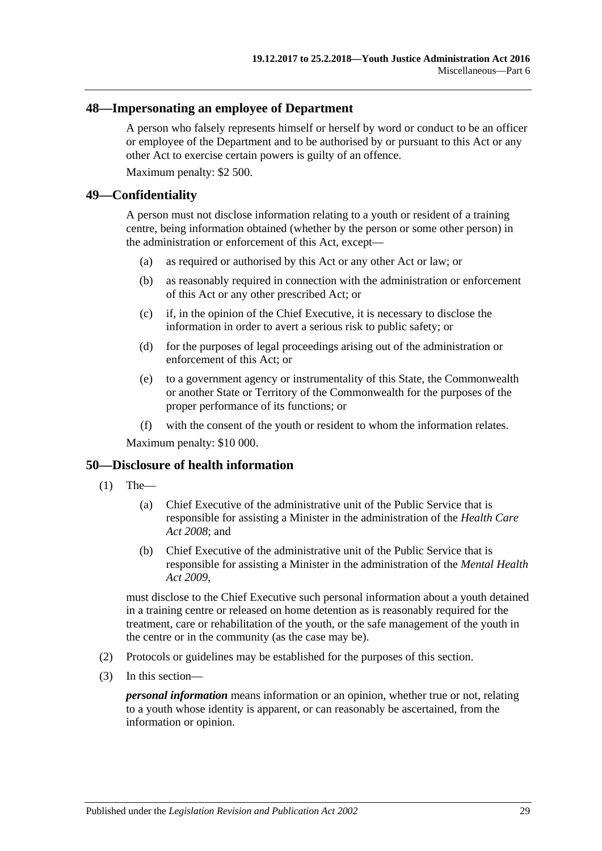#### <span id="page-28-0"></span>**48—Impersonating an employee of Department**

A person who falsely represents himself or herself by word or conduct to be an officer or employee of the Department and to be authorised by or pursuant to this Act or any other Act to exercise certain powers is guilty of an offence.

Maximum penalty: \$2 500.

#### <span id="page-28-1"></span>**49—Confidentiality**

A person must not disclose information relating to a youth or resident of a training centre, being information obtained (whether by the person or some other person) in the administration or enforcement of this Act, except—

- (a) as required or authorised by this Act or any other Act or law; or
- (b) as reasonably required in connection with the administration or enforcement of this Act or any other prescribed Act; or
- (c) if, in the opinion of the Chief Executive, it is necessary to disclose the information in order to avert a serious risk to public safety; or
- (d) for the purposes of legal proceedings arising out of the administration or enforcement of this Act; or
- (e) to a government agency or instrumentality of this State, the Commonwealth or another State or Territory of the Commonwealth for the purposes of the proper performance of its functions; or
- (f) with the consent of the youth or resident to whom the information relates.

Maximum penalty: \$10 000.

#### <span id="page-28-2"></span>**50—Disclosure of health information**

- (1) The—
	- (a) Chief Executive of the administrative unit of the Public Service that is responsible for assisting a Minister in the administration of the *[Health Care](http://www.legislation.sa.gov.au/index.aspx?action=legref&type=act&legtitle=Health%20Care%20Act%202008)  Act [2008](http://www.legislation.sa.gov.au/index.aspx?action=legref&type=act&legtitle=Health%20Care%20Act%202008)*; and
	- (b) Chief Executive of the administrative unit of the Public Service that is responsible for assisting a Minister in the administration of the *[Mental Health](http://www.legislation.sa.gov.au/index.aspx?action=legref&type=act&legtitle=Mental%20Health%20Act%202009)  Act [2009](http://www.legislation.sa.gov.au/index.aspx?action=legref&type=act&legtitle=Mental%20Health%20Act%202009)*,

must disclose to the Chief Executive such personal information about a youth detained in a training centre or released on home detention as is reasonably required for the treatment, care or rehabilitation of the youth, or the safe management of the youth in the centre or in the community (as the case may be).

- (2) Protocols or guidelines may be established for the purposes of this section.
- (3) In this section—

*personal information* means information or an opinion, whether true or not, relating to a youth whose identity is apparent, or can reasonably be ascertained, from the information or opinion.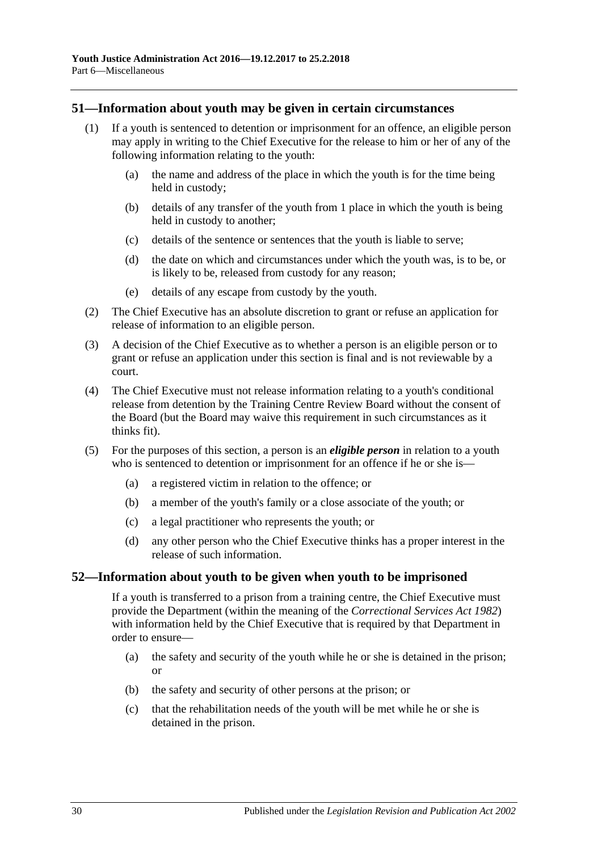#### <span id="page-29-0"></span>**51—Information about youth may be given in certain circumstances**

- (1) If a youth is sentenced to detention or imprisonment for an offence, an eligible person may apply in writing to the Chief Executive for the release to him or her of any of the following information relating to the youth:
	- (a) the name and address of the place in which the youth is for the time being held in custody;
	- (b) details of any transfer of the youth from 1 place in which the youth is being held in custody to another;
	- (c) details of the sentence or sentences that the youth is liable to serve;
	- (d) the date on which and circumstances under which the youth was, is to be, or is likely to be, released from custody for any reason;
	- (e) details of any escape from custody by the youth.
- (2) The Chief Executive has an absolute discretion to grant or refuse an application for release of information to an eligible person.
- (3) A decision of the Chief Executive as to whether a person is an eligible person or to grant or refuse an application under this section is final and is not reviewable by a court.
- (4) The Chief Executive must not release information relating to a youth's conditional release from detention by the Training Centre Review Board without the consent of the Board (but the Board may waive this requirement in such circumstances as it thinks fit).
- (5) For the purposes of this section, a person is an *eligible person* in relation to a youth who is sentenced to detention or imprisonment for an offence if he or she is—
	- (a) a registered victim in relation to the offence; or
	- (b) a member of the youth's family or a close associate of the youth; or
	- (c) a legal practitioner who represents the youth; or
	- (d) any other person who the Chief Executive thinks has a proper interest in the release of such information.

#### <span id="page-29-1"></span>**52—Information about youth to be given when youth to be imprisoned**

If a youth is transferred to a prison from a training centre, the Chief Executive must provide the Department (within the meaning of the *[Correctional Services Act](http://www.legislation.sa.gov.au/index.aspx?action=legref&type=act&legtitle=Correctional%20Services%20Act%201982) 1982*) with information held by the Chief Executive that is required by that Department in order to ensure—

- (a) the safety and security of the youth while he or she is detained in the prison; or
- (b) the safety and security of other persons at the prison; or
- (c) that the rehabilitation needs of the youth will be met while he or she is detained in the prison.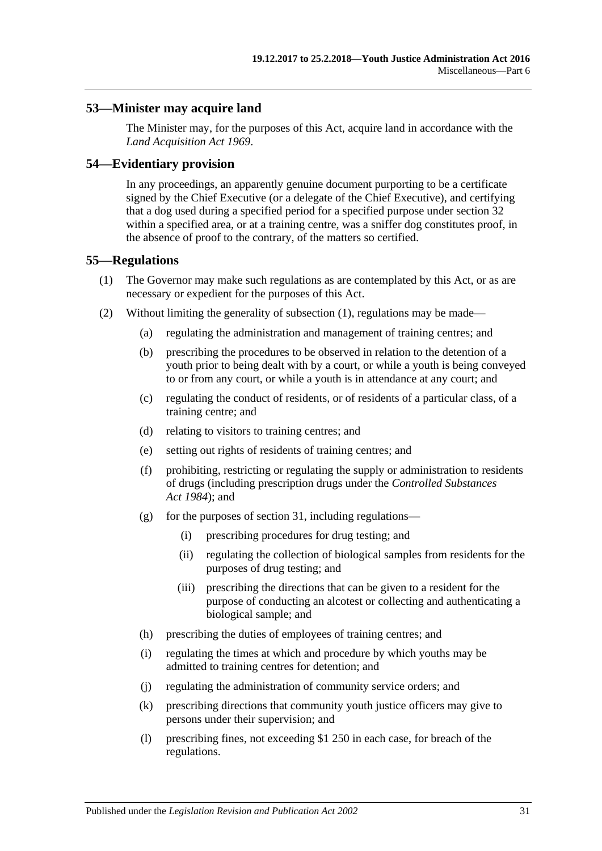### <span id="page-30-0"></span>**53—Minister may acquire land**

The Minister may, for the purposes of this Act, acquire land in accordance with the *[Land Acquisition Act](http://www.legislation.sa.gov.au/index.aspx?action=legref&type=act&legtitle=Land%20Acquisition%20Act%201969) 1969*.

#### <span id="page-30-1"></span>**54—Evidentiary provision**

In any proceedings, an apparently genuine document purporting to be a certificate signed by the Chief Executive (or a delegate of the Chief Executive), and certifying that a dog used during a specified period for a specified purpose under [section](#page-19-0) 32 within a specified area, or at a training centre, was a sniffer dog constitutes proof, in the absence of proof to the contrary, of the matters so certified.

#### <span id="page-30-3"></span><span id="page-30-2"></span>**55—Regulations**

- (1) The Governor may make such regulations as are contemplated by this Act, or as are necessary or expedient for the purposes of this Act.
- (2) Without limiting the generality of [subsection](#page-30-3) (1), regulations may be made—
	- (a) regulating the administration and management of training centres; and
	- (b) prescribing the procedures to be observed in relation to the detention of a youth prior to being dealt with by a court, or while a youth is being conveyed to or from any court, or while a youth is in attendance at any court; and
	- (c) regulating the conduct of residents, or of residents of a particular class, of a training centre; and
	- (d) relating to visitors to training centres; and
	- (e) setting out rights of residents of training centres; and
	- (f) prohibiting, restricting or regulating the supply or administration to residents of drugs (including prescription drugs under the *[Controlled Substances](http://www.legislation.sa.gov.au/index.aspx?action=legref&type=act&legtitle=Controlled%20Substances%20Act%201984)  Act [1984](http://www.legislation.sa.gov.au/index.aspx?action=legref&type=act&legtitle=Controlled%20Substances%20Act%201984)*); and
	- (g) for the purposes of [section](#page-18-0) 31, including regulations—
		- (i) prescribing procedures for drug testing; and
		- (ii) regulating the collection of biological samples from residents for the purposes of drug testing; and
		- (iii) prescribing the directions that can be given to a resident for the purpose of conducting an alcotest or collecting and authenticating a biological sample; and
	- (h) prescribing the duties of employees of training centres; and
	- (i) regulating the times at which and procedure by which youths may be admitted to training centres for detention; and
	- (j) regulating the administration of community service orders; and
	- (k) prescribing directions that community youth justice officers may give to persons under their supervision; and
	- (l) prescribing fines, not exceeding \$1 250 in each case, for breach of the regulations.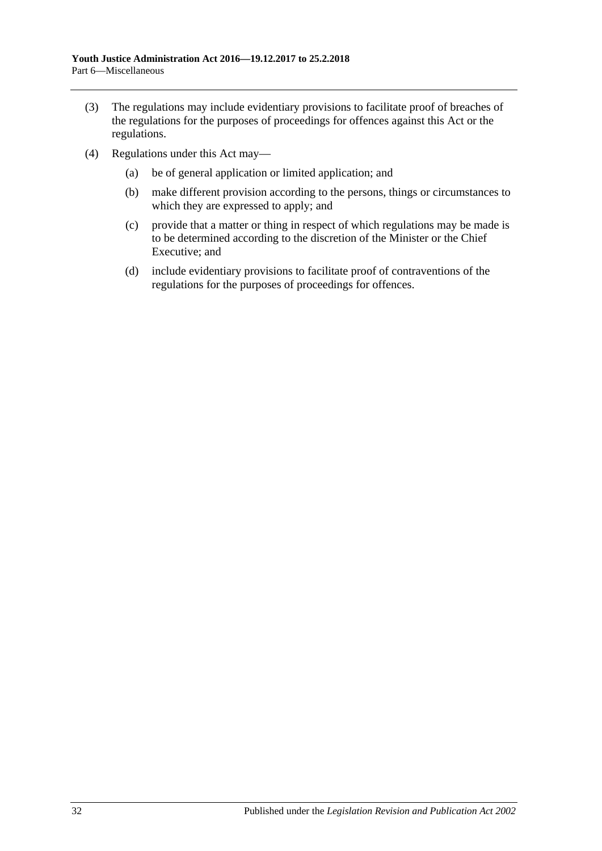- (3) The regulations may include evidentiary provisions to facilitate proof of breaches of the regulations for the purposes of proceedings for offences against this Act or the regulations.
- (4) Regulations under this Act may—
	- (a) be of general application or limited application; and
	- (b) make different provision according to the persons, things or circumstances to which they are expressed to apply; and
	- (c) provide that a matter or thing in respect of which regulations may be made is to be determined according to the discretion of the Minister or the Chief Executive; and
	- (d) include evidentiary provisions to facilitate proof of contraventions of the regulations for the purposes of proceedings for offences.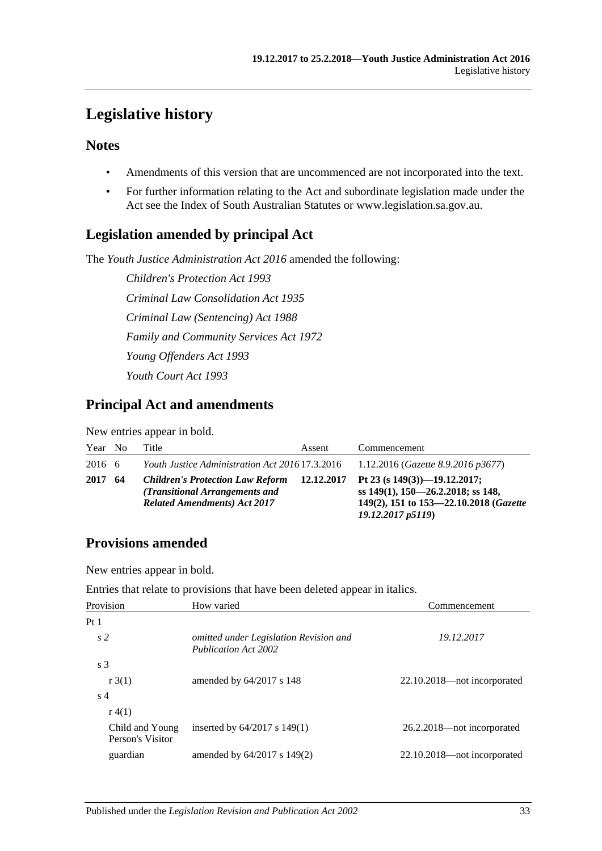## <span id="page-32-0"></span>**Legislative history**

## **Notes**

- Amendments of this version that are uncommenced are not incorporated into the text.
- For further information relating to the Act and subordinate legislation made under the Act see the Index of South Australian Statutes or www.legislation.sa.gov.au.

## **Legislation amended by principal Act**

The *Youth Justice Administration Act 2016* amended the following:

*Children's Protection Act 1993 Criminal Law Consolidation Act 1935 Criminal Law (Sentencing) Act 1988 Family and Community Services Act 1972 Young Offenders Act 1993 Youth Court Act 1993*

## **Principal Act and amendments**

New entries appear in bold.

| Year No |      | Title                                                                                                            | Assent | Commencement                                                                                                                                         |
|---------|------|------------------------------------------------------------------------------------------------------------------|--------|------------------------------------------------------------------------------------------------------------------------------------------------------|
| 2016 6  |      | <i>Youth Justice Administration Act 2016</i> 17.3.2016                                                           |        | 1.12.2016 (Gazette 8.9.2016 p3677)                                                                                                                   |
| 2017    | - 64 | <b>Children's Protection Law Reform</b><br>(Transitional Arrangements and<br><b>Related Amendments) Act 2017</b> |        | 12.12.2017 Pt 23 (s $149(3)$ )-19.12.2017;<br>ss $149(1)$ , $150-26.2.2018$ ; ss 148,<br>149(2), 151 to 153-22.10.2018 (Gazette<br>19.12.2017 p5119) |

## **Provisions amended**

New entries appear in bold.

Entries that relate to provisions that have been deleted appear in italics.

| Provision                           | How varied                                                            | Commencement                |
|-------------------------------------|-----------------------------------------------------------------------|-----------------------------|
| Pt <sub>1</sub>                     |                                                                       |                             |
| s <sub>2</sub>                      | omitted under Legislation Revision and<br><b>Publication Act 2002</b> | 19.12.2017                  |
| s <sub>3</sub>                      |                                                                       |                             |
| r3(1)                               | amended by $64/2017$ s 148                                            | 22.10.2018—not incorporated |
| s 4                                 |                                                                       |                             |
| r(4(1))                             |                                                                       |                             |
| Child and Young<br>Person's Visitor | inserted by $64/2017$ s $149(1)$                                      | 26.2.2018—not incorporated  |
| guardian                            | amended by $64/2017$ s $149(2)$                                       | 22.10.2018—not incorporated |